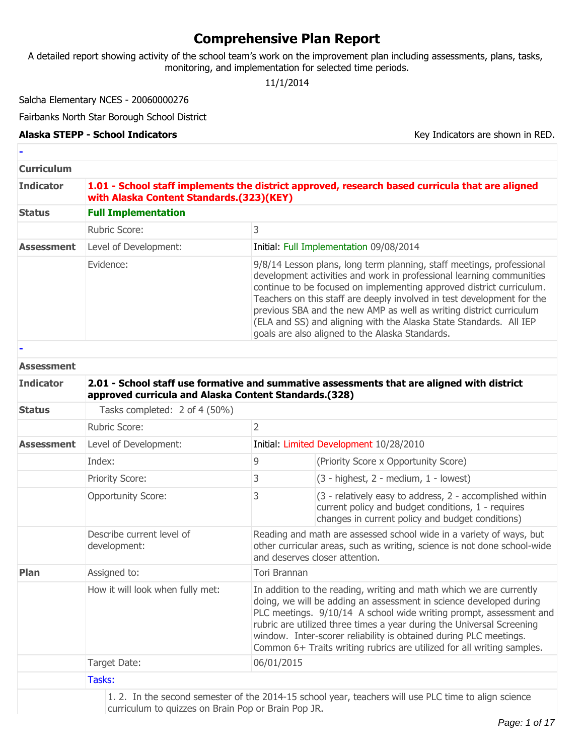# **Comprehensive Plan Report**

A detailed report showing activity of the school team's work on the improvement plan including assessments, plans, tasks, monitoring, and implementation for selected time periods.

11/1/2014

Salcha Elementary NCES - 20060000276

Fairbanks North Star Borough School District

#### Alaska STEPP - School Indicators **Key Indicators** Key Indicators are shown in RED.

| <b>Curriculum</b> |                                                                                                                                                     |                |                                                                                                                                                                                                                                                                                                                                                                                                                                                                                                 |  |  |  |  |
|-------------------|-----------------------------------------------------------------------------------------------------------------------------------------------------|----------------|-------------------------------------------------------------------------------------------------------------------------------------------------------------------------------------------------------------------------------------------------------------------------------------------------------------------------------------------------------------------------------------------------------------------------------------------------------------------------------------------------|--|--|--|--|
| <b>Indicator</b>  | 1.01 - School staff implements the district approved, research based curricula that are aligned<br>with Alaska Content Standards.(323)(KEY)         |                |                                                                                                                                                                                                                                                                                                                                                                                                                                                                                                 |  |  |  |  |
| <b>Status</b>     | <b>Full Implementation</b>                                                                                                                          |                |                                                                                                                                                                                                                                                                                                                                                                                                                                                                                                 |  |  |  |  |
|                   | Rubric Score:                                                                                                                                       | 3              |                                                                                                                                                                                                                                                                                                                                                                                                                                                                                                 |  |  |  |  |
| <b>Assessment</b> | Level of Development:                                                                                                                               |                | Initial: Full Implementation 09/08/2014                                                                                                                                                                                                                                                                                                                                                                                                                                                         |  |  |  |  |
|                   | Evidence:                                                                                                                                           |                | 9/8/14 Lesson plans, long term planning, staff meetings, professional<br>development activities and work in professional learning communities<br>continue to be focused on implementing approved district curriculum.<br>Teachers on this staff are deeply involved in test development for the<br>previous SBA and the new AMP as well as writing district curriculum<br>(ELA and SS) and aligning with the Alaska State Standards. All IEP<br>goals are also aligned to the Alaska Standards. |  |  |  |  |
|                   |                                                                                                                                                     |                |                                                                                                                                                                                                                                                                                                                                                                                                                                                                                                 |  |  |  |  |
| <b>Assessment</b> |                                                                                                                                                     |                |                                                                                                                                                                                                                                                                                                                                                                                                                                                                                                 |  |  |  |  |
| <b>Indicator</b>  | 2.01 - School staff use formative and summative assessments that are aligned with district<br>approved curricula and Alaska Content Standards.(328) |                |                                                                                                                                                                                                                                                                                                                                                                                                                                                                                                 |  |  |  |  |
| <b>Status</b>     | Tasks completed: 2 of 4 (50%)                                                                                                                       |                |                                                                                                                                                                                                                                                                                                                                                                                                                                                                                                 |  |  |  |  |
|                   | Rubric Score:                                                                                                                                       | $\overline{2}$ |                                                                                                                                                                                                                                                                                                                                                                                                                                                                                                 |  |  |  |  |
| <b>Assessment</b> | Level of Development:                                                                                                                               |                | Initial: Limited Development 10/28/2010                                                                                                                                                                                                                                                                                                                                                                                                                                                         |  |  |  |  |
|                   | Index:                                                                                                                                              | 9              | (Priority Score x Opportunity Score)                                                                                                                                                                                                                                                                                                                                                                                                                                                            |  |  |  |  |
|                   | Priority Score:                                                                                                                                     | 3              | (3 - highest, 2 - medium, 1 - lowest)                                                                                                                                                                                                                                                                                                                                                                                                                                                           |  |  |  |  |
|                   | <b>Opportunity Score:</b>                                                                                                                           | 3              | (3 - relatively easy to address, 2 - accomplished within<br>current policy and budget conditions, 1 - requires<br>changes in current policy and budget conditions)                                                                                                                                                                                                                                                                                                                              |  |  |  |  |
|                   | Describe current level of<br>development:                                                                                                           |                | Reading and math are assessed school wide in a variety of ways, but<br>other curricular areas, such as writing, science is not done school-wide<br>and deserves closer attention.                                                                                                                                                                                                                                                                                                               |  |  |  |  |
| Plan              | Assigned to:                                                                                                                                        | Tori Brannan   |                                                                                                                                                                                                                                                                                                                                                                                                                                                                                                 |  |  |  |  |
|                   | How it will look when fully met:                                                                                                                    |                | In addition to the reading, writing and math which we are currently<br>doing, we will be adding an assessment in science developed during<br>PLC meetings. 9/10/14 A school wide writing prompt, assessment and<br>rubric are utilized three times a year during the Universal Screening<br>window. Inter-scorer reliability is obtained during PLC meetings.                                                                                                                                   |  |  |  |  |

Tasks:

Target Date: 06/01/2015

1. 2. In the second semester of the 2014-15 school year, teachers will use PLC time to align science curriculum to quizzes on Brain Pop or Brain Pop JR.

Common 6+ Traits writing rubrics are utilized for all writing samples.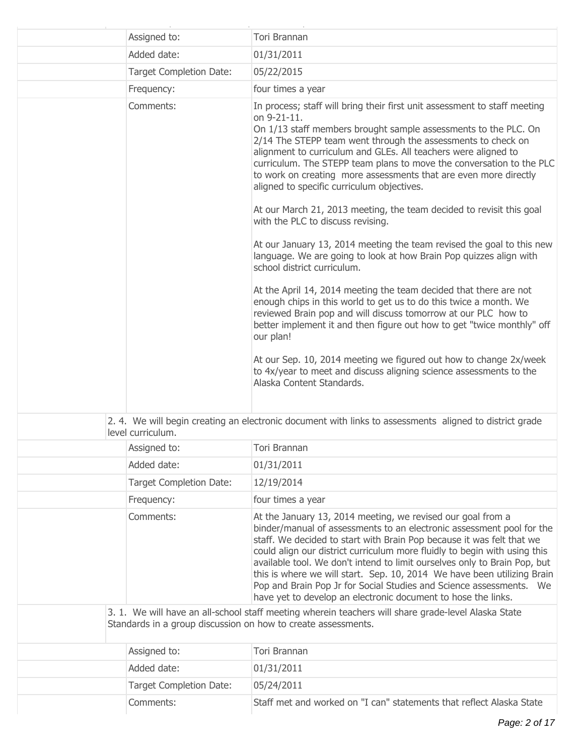| Assigned to:                                                  | Tori Brannan                                                                                                                                                                                                                                                                                                                                                                                                                                                                                                                                                                               |
|---------------------------------------------------------------|--------------------------------------------------------------------------------------------------------------------------------------------------------------------------------------------------------------------------------------------------------------------------------------------------------------------------------------------------------------------------------------------------------------------------------------------------------------------------------------------------------------------------------------------------------------------------------------------|
| Added date:                                                   | 01/31/2011                                                                                                                                                                                                                                                                                                                                                                                                                                                                                                                                                                                 |
| <b>Target Completion Date:</b>                                | 05/22/2015                                                                                                                                                                                                                                                                                                                                                                                                                                                                                                                                                                                 |
| Frequency:                                                    | four times a year                                                                                                                                                                                                                                                                                                                                                                                                                                                                                                                                                                          |
| Comments:                                                     | In process; staff will bring their first unit assessment to staff meeting<br>on 9-21-11.<br>On 1/13 staff members brought sample assessments to the PLC. On<br>2/14 The STEPP team went through the assessments to check on<br>alignment to curriculum and GLEs. All teachers were aligned to<br>curriculum. The STEPP team plans to move the conversation to the PLC<br>to work on creating more assessments that are even more directly<br>aligned to specific curriculum objectives.                                                                                                    |
|                                                               | At our March 21, 2013 meeting, the team decided to revisit this goal<br>with the PLC to discuss revising.                                                                                                                                                                                                                                                                                                                                                                                                                                                                                  |
|                                                               | At our January 13, 2014 meeting the team revised the goal to this new<br>language. We are going to look at how Brain Pop quizzes align with<br>school district curriculum.                                                                                                                                                                                                                                                                                                                                                                                                                 |
|                                                               | At the April 14, 2014 meeting the team decided that there are not<br>enough chips in this world to get us to do this twice a month. We<br>reviewed Brain pop and will discuss tomorrow at our PLC how to<br>better implement it and then figure out how to get "twice monthly" off<br>our plan!                                                                                                                                                                                                                                                                                            |
|                                                               | At our Sep. 10, 2014 meeting we figured out how to change 2x/week<br>to 4x/year to meet and discuss aligning science assessments to the<br>Alaska Content Standards.                                                                                                                                                                                                                                                                                                                                                                                                                       |
| level curriculum.                                             | 2. 4. We will begin creating an electronic document with links to assessments aligned to district grade                                                                                                                                                                                                                                                                                                                                                                                                                                                                                    |
| Assigned to:                                                  | Tori Brannan                                                                                                                                                                                                                                                                                                                                                                                                                                                                                                                                                                               |
| Added date:                                                   | 01/31/2011                                                                                                                                                                                                                                                                                                                                                                                                                                                                                                                                                                                 |
| <b>Target Completion Date:</b>                                | 12/19/2014                                                                                                                                                                                                                                                                                                                                                                                                                                                                                                                                                                                 |
| Frequency:                                                    | four times a year                                                                                                                                                                                                                                                                                                                                                                                                                                                                                                                                                                          |
| Comments:                                                     | At the January 13, 2014 meeting, we revised our goal from a<br>binder/manual of assessments to an electronic assessment pool for the<br>staff. We decided to start with Brain Pop because it was felt that we<br>could align our district curriculum more fluidly to begin with using this<br>available tool. We don't intend to limit ourselves only to Brain Pop, but<br>this is where we will start. Sep. 10, 2014 We have been utilizing Brain<br>Pop and Brain Pop Jr for Social Studies and Science assessments. We<br>have yet to develop an electronic document to hose the links. |
| Standards in a group discussion on how to create assessments. | 3. 1. We will have an all-school staff meeting wherein teachers will share grade-level Alaska State                                                                                                                                                                                                                                                                                                                                                                                                                                                                                        |
| Assigned to:                                                  | Tori Brannan                                                                                                                                                                                                                                                                                                                                                                                                                                                                                                                                                                               |
| Added date:                                                   | 01/31/2011                                                                                                                                                                                                                                                                                                                                                                                                                                                                                                                                                                                 |
| <b>Target Completion Date:</b>                                | 05/24/2011                                                                                                                                                                                                                                                                                                                                                                                                                                                                                                                                                                                 |
| Comments:                                                     | Staff met and worked on "I can" statements that reflect Alaska State                                                                                                                                                                                                                                                                                                                                                                                                                                                                                                                       |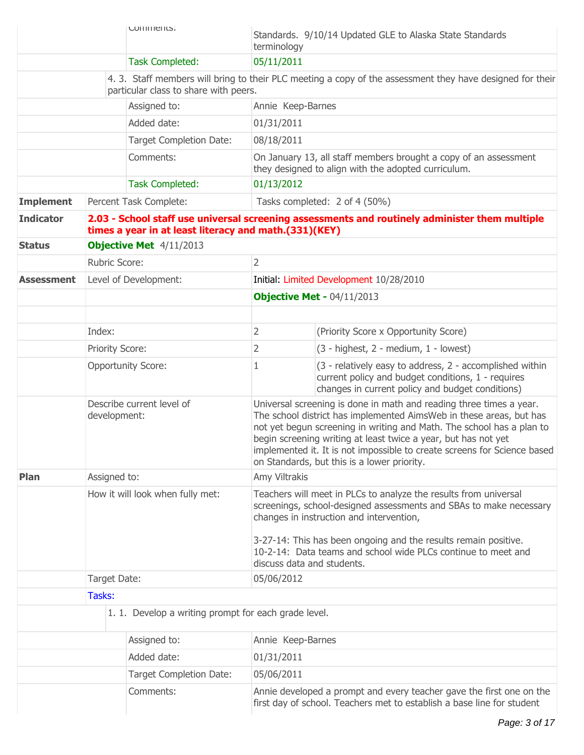|                   | COMMENTS:                        |  |                                                                                                                                                | Standards. 9/10/14 Updated GLE to Alaska State Standards<br>terminology                                                                                                                                                                                                                                                                              |                                                                                                                                                                                                                                                                                                                                                                                                                  |  |
|-------------------|----------------------------------|--|------------------------------------------------------------------------------------------------------------------------------------------------|------------------------------------------------------------------------------------------------------------------------------------------------------------------------------------------------------------------------------------------------------------------------------------------------------------------------------------------------------|------------------------------------------------------------------------------------------------------------------------------------------------------------------------------------------------------------------------------------------------------------------------------------------------------------------------------------------------------------------------------------------------------------------|--|
|                   |                                  |  | <b>Task Completed:</b>                                                                                                                         | 05/11/2011                                                                                                                                                                                                                                                                                                                                           |                                                                                                                                                                                                                                                                                                                                                                                                                  |  |
|                   |                                  |  | particular class to share with peers.                                                                                                          |                                                                                                                                                                                                                                                                                                                                                      | 4. 3. Staff members will bring to their PLC meeting a copy of the assessment they have designed for their                                                                                                                                                                                                                                                                                                        |  |
|                   | Assigned to:                     |  |                                                                                                                                                | Annie Keep-Barnes                                                                                                                                                                                                                                                                                                                                    |                                                                                                                                                                                                                                                                                                                                                                                                                  |  |
|                   |                                  |  | Added date:                                                                                                                                    | 01/31/2011                                                                                                                                                                                                                                                                                                                                           |                                                                                                                                                                                                                                                                                                                                                                                                                  |  |
|                   |                                  |  | <b>Target Completion Date:</b>                                                                                                                 | 08/18/2011                                                                                                                                                                                                                                                                                                                                           |                                                                                                                                                                                                                                                                                                                                                                                                                  |  |
|                   |                                  |  | Comments:                                                                                                                                      |                                                                                                                                                                                                                                                                                                                                                      | On January 13, all staff members brought a copy of an assessment<br>they designed to align with the adopted curriculum.                                                                                                                                                                                                                                                                                          |  |
|                   |                                  |  | <b>Task Completed:</b>                                                                                                                         | 01/13/2012                                                                                                                                                                                                                                                                                                                                           |                                                                                                                                                                                                                                                                                                                                                                                                                  |  |
| <b>Implement</b>  |                                  |  | Percent Task Complete:                                                                                                                         |                                                                                                                                                                                                                                                                                                                                                      | Tasks completed: 2 of 4 (50%)                                                                                                                                                                                                                                                                                                                                                                                    |  |
| <b>Indicator</b>  |                                  |  | times a year in at least literacy and math.(331)(KEY)                                                                                          |                                                                                                                                                                                                                                                                                                                                                      | 2.03 - School staff use universal screening assessments and routinely administer them multiple                                                                                                                                                                                                                                                                                                                   |  |
| <b>Status</b>     |                                  |  | Objective Met 4/11/2013                                                                                                                        |                                                                                                                                                                                                                                                                                                                                                      |                                                                                                                                                                                                                                                                                                                                                                                                                  |  |
|                   | Rubric Score:                    |  |                                                                                                                                                | $\overline{2}$                                                                                                                                                                                                                                                                                                                                       |                                                                                                                                                                                                                                                                                                                                                                                                                  |  |
| <b>Assessment</b> |                                  |  | Level of Development:                                                                                                                          |                                                                                                                                                                                                                                                                                                                                                      | Initial: Limited Development 10/28/2010                                                                                                                                                                                                                                                                                                                                                                          |  |
|                   |                                  |  |                                                                                                                                                |                                                                                                                                                                                                                                                                                                                                                      | Objective Met - 04/11/2013                                                                                                                                                                                                                                                                                                                                                                                       |  |
|                   |                                  |  |                                                                                                                                                |                                                                                                                                                                                                                                                                                                                                                      |                                                                                                                                                                                                                                                                                                                                                                                                                  |  |
|                   | Index:                           |  |                                                                                                                                                | $\overline{2}$                                                                                                                                                                                                                                                                                                                                       | (Priority Score x Opportunity Score)                                                                                                                                                                                                                                                                                                                                                                             |  |
|                   | Priority Score:                  |  |                                                                                                                                                | 2                                                                                                                                                                                                                                                                                                                                                    | (3 - highest, 2 - medium, 1 - lowest)                                                                                                                                                                                                                                                                                                                                                                            |  |
|                   |                                  |  | <b>Opportunity Score:</b>                                                                                                                      | 1                                                                                                                                                                                                                                                                                                                                                    | (3 - relatively easy to address, 2 - accomplished within<br>current policy and budget conditions, 1 - requires<br>changes in current policy and budget conditions)                                                                                                                                                                                                                                               |  |
|                   | development:                     |  | Describe current level of                                                                                                                      |                                                                                                                                                                                                                                                                                                                                                      | Universal screening is done in math and reading three times a year.<br>The school district has implemented AimsWeb in these areas, but has<br>not yet begun screening in writing and Math. The school has a plan to<br>begin screening writing at least twice a year, but has not yet<br>implemented it. It is not impossible to create screens for Science based<br>on Standards, but this is a lower priority. |  |
| <b>Plan</b>       | Assigned to:                     |  |                                                                                                                                                | Amy Viltrakis                                                                                                                                                                                                                                                                                                                                        |                                                                                                                                                                                                                                                                                                                                                                                                                  |  |
|                   | How it will look when fully met: |  |                                                                                                                                                | Teachers will meet in PLCs to analyze the results from universal<br>screenings, school-designed assessments and SBAs to make necessary<br>changes in instruction and intervention,<br>3-27-14: This has been ongoing and the results remain positive.<br>10-2-14: Data teams and school wide PLCs continue to meet and<br>discuss data and students. |                                                                                                                                                                                                                                                                                                                                                                                                                  |  |
|                   | Target Date:                     |  |                                                                                                                                                | 05/06/2012                                                                                                                                                                                                                                                                                                                                           |                                                                                                                                                                                                                                                                                                                                                                                                                  |  |
|                   | Tasks:                           |  |                                                                                                                                                |                                                                                                                                                                                                                                                                                                                                                      |                                                                                                                                                                                                                                                                                                                                                                                                                  |  |
|                   |                                  |  | 1. 1. Develop a writing prompt for each grade level.                                                                                           |                                                                                                                                                                                                                                                                                                                                                      |                                                                                                                                                                                                                                                                                                                                                                                                                  |  |
|                   |                                  |  | Assigned to:                                                                                                                                   | Annie Keep-Barnes                                                                                                                                                                                                                                                                                                                                    |                                                                                                                                                                                                                                                                                                                                                                                                                  |  |
|                   |                                  |  | Added date:                                                                                                                                    | 01/31/2011                                                                                                                                                                                                                                                                                                                                           |                                                                                                                                                                                                                                                                                                                                                                                                                  |  |
|                   |                                  |  | <b>Target Completion Date:</b>                                                                                                                 | 05/06/2011                                                                                                                                                                                                                                                                                                                                           |                                                                                                                                                                                                                                                                                                                                                                                                                  |  |
|                   | Comments:                        |  | Annie developed a prompt and every teacher gave the first one on the<br>first day of school. Teachers met to establish a base line for student |                                                                                                                                                                                                                                                                                                                                                      |                                                                                                                                                                                                                                                                                                                                                                                                                  |  |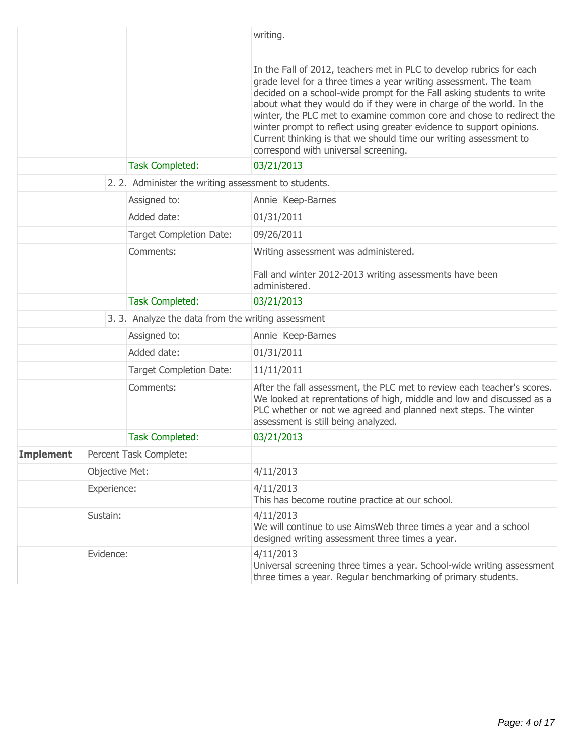|                  |                                                                              |                                                      | writing.                                                                                                                                                                                                                                                                                                                                                                                                                                                                                                                                                |
|------------------|------------------------------------------------------------------------------|------------------------------------------------------|---------------------------------------------------------------------------------------------------------------------------------------------------------------------------------------------------------------------------------------------------------------------------------------------------------------------------------------------------------------------------------------------------------------------------------------------------------------------------------------------------------------------------------------------------------|
|                  |                                                                              |                                                      | In the Fall of 2012, teachers met in PLC to develop rubrics for each<br>grade level for a three times a year writing assessment. The team<br>decided on a school-wide prompt for the Fall asking students to write<br>about what they would do if they were in charge of the world. In the<br>winter, the PLC met to examine common core and chose to redirect the<br>winter prompt to reflect using greater evidence to support opinions.<br>Current thinking is that we should time our writing assessment to<br>correspond with universal screening. |
|                  |                                                                              | <b>Task Completed:</b>                               | 03/21/2013                                                                                                                                                                                                                                                                                                                                                                                                                                                                                                                                              |
|                  |                                                                              | 2. 2. Administer the writing assessment to students. |                                                                                                                                                                                                                                                                                                                                                                                                                                                                                                                                                         |
|                  |                                                                              | Assigned to:                                         | Annie Keep-Barnes                                                                                                                                                                                                                                                                                                                                                                                                                                                                                                                                       |
|                  |                                                                              | Added date:                                          | 01/31/2011                                                                                                                                                                                                                                                                                                                                                                                                                                                                                                                                              |
|                  |                                                                              | <b>Target Completion Date:</b>                       | 09/26/2011                                                                                                                                                                                                                                                                                                                                                                                                                                                                                                                                              |
| Comments:        |                                                                              |                                                      | Writing assessment was administered.<br>Fall and winter 2012-2013 writing assessments have been<br>administered.                                                                                                                                                                                                                                                                                                                                                                                                                                        |
|                  | <b>Task Completed:</b><br>3. 3. Analyze the data from the writing assessment |                                                      | 03/21/2013                                                                                                                                                                                                                                                                                                                                                                                                                                                                                                                                              |
|                  |                                                                              |                                                      |                                                                                                                                                                                                                                                                                                                                                                                                                                                                                                                                                         |
|                  |                                                                              | Assigned to:                                         | Annie Keep-Barnes                                                                                                                                                                                                                                                                                                                                                                                                                                                                                                                                       |
|                  |                                                                              | Added date:                                          | 01/31/2011<br>11/11/2011                                                                                                                                                                                                                                                                                                                                                                                                                                                                                                                                |
|                  |                                                                              | <b>Target Completion Date:</b>                       |                                                                                                                                                                                                                                                                                                                                                                                                                                                                                                                                                         |
|                  |                                                                              | Comments:                                            | After the fall assessment, the PLC met to review each teacher's scores.<br>We looked at reprentations of high, middle and low and discussed as a<br>PLC whether or not we agreed and planned next steps. The winter<br>assessment is still being analyzed.                                                                                                                                                                                                                                                                                              |
|                  |                                                                              | <b>Task Completed:</b>                               | 03/21/2013                                                                                                                                                                                                                                                                                                                                                                                                                                                                                                                                              |
| <b>Implement</b> |                                                                              | Percent Task Complete:                               |                                                                                                                                                                                                                                                                                                                                                                                                                                                                                                                                                         |
|                  | Objective Met:                                                               |                                                      | 4/11/2013                                                                                                                                                                                                                                                                                                                                                                                                                                                                                                                                               |
|                  | Experience:<br>Sustain:                                                      |                                                      | 4/11/2013<br>This has become routine practice at our school.                                                                                                                                                                                                                                                                                                                                                                                                                                                                                            |
|                  |                                                                              |                                                      | 4/11/2013<br>We will continue to use AimsWeb three times a year and a school<br>designed writing assessment three times a year.                                                                                                                                                                                                                                                                                                                                                                                                                         |
|                  | Evidence:                                                                    |                                                      | 4/11/2013<br>Universal screening three times a year. School-wide writing assessment<br>three times a year. Regular benchmarking of primary students.                                                                                                                                                                                                                                                                                                                                                                                                    |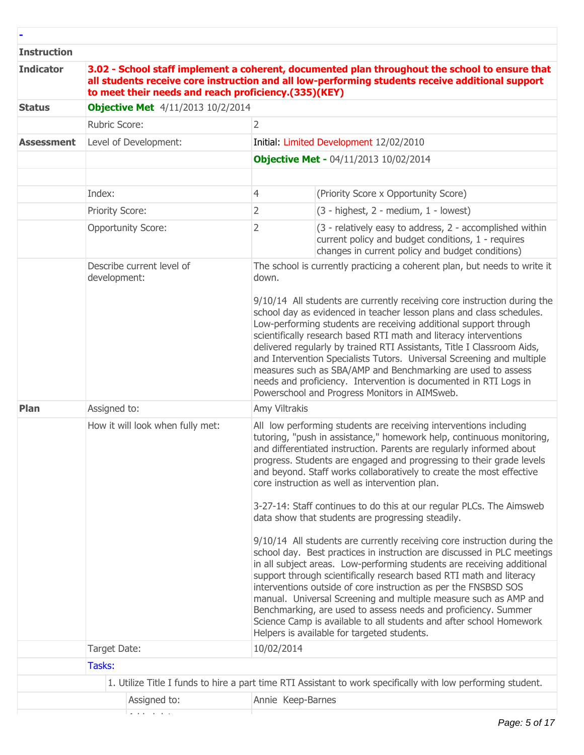#### **Instruction**

**-**

| <b>Indicator</b>  | to meet their needs and reach proficiency.(335)(KEY) |  |                                                                                                                                                                                                                                                                                                                                                                                                                                                                                                                                                                                                                                                                        | 3.02 - School staff implement a coherent, documented plan throughout the school to ensure that<br>all students receive core instruction and all low-performing students receive additional support                                                                                                                                                                                                                                                                                                                                                                                                                                                                                                                                                                                                                                                                                                                                                                                                                                                                                                                                                                                       |  |
|-------------------|------------------------------------------------------|--|------------------------------------------------------------------------------------------------------------------------------------------------------------------------------------------------------------------------------------------------------------------------------------------------------------------------------------------------------------------------------------------------------------------------------------------------------------------------------------------------------------------------------------------------------------------------------------------------------------------------------------------------------------------------|------------------------------------------------------------------------------------------------------------------------------------------------------------------------------------------------------------------------------------------------------------------------------------------------------------------------------------------------------------------------------------------------------------------------------------------------------------------------------------------------------------------------------------------------------------------------------------------------------------------------------------------------------------------------------------------------------------------------------------------------------------------------------------------------------------------------------------------------------------------------------------------------------------------------------------------------------------------------------------------------------------------------------------------------------------------------------------------------------------------------------------------------------------------------------------------|--|
| <b>Status</b>     | <b>Objective Met</b> 4/11/2013 10/2/2014             |  |                                                                                                                                                                                                                                                                                                                                                                                                                                                                                                                                                                                                                                                                        |                                                                                                                                                                                                                                                                                                                                                                                                                                                                                                                                                                                                                                                                                                                                                                                                                                                                                                                                                                                                                                                                                                                                                                                          |  |
|                   | <b>Rubric Score:</b>                                 |  | $\overline{2}$                                                                                                                                                                                                                                                                                                                                                                                                                                                                                                                                                                                                                                                         |                                                                                                                                                                                                                                                                                                                                                                                                                                                                                                                                                                                                                                                                                                                                                                                                                                                                                                                                                                                                                                                                                                                                                                                          |  |
| <b>Assessment</b> | Level of Development:                                |  |                                                                                                                                                                                                                                                                                                                                                                                                                                                                                                                                                                                                                                                                        | Initial: Limited Development 12/02/2010                                                                                                                                                                                                                                                                                                                                                                                                                                                                                                                                                                                                                                                                                                                                                                                                                                                                                                                                                                                                                                                                                                                                                  |  |
|                   |                                                      |  |                                                                                                                                                                                                                                                                                                                                                                                                                                                                                                                                                                                                                                                                        | <b>Objective Met - 04/11/2013 10/02/2014</b>                                                                                                                                                                                                                                                                                                                                                                                                                                                                                                                                                                                                                                                                                                                                                                                                                                                                                                                                                                                                                                                                                                                                             |  |
|                   |                                                      |  |                                                                                                                                                                                                                                                                                                                                                                                                                                                                                                                                                                                                                                                                        |                                                                                                                                                                                                                                                                                                                                                                                                                                                                                                                                                                                                                                                                                                                                                                                                                                                                                                                                                                                                                                                                                                                                                                                          |  |
|                   | Index:                                               |  | 4                                                                                                                                                                                                                                                                                                                                                                                                                                                                                                                                                                                                                                                                      | (Priority Score x Opportunity Score)                                                                                                                                                                                                                                                                                                                                                                                                                                                                                                                                                                                                                                                                                                                                                                                                                                                                                                                                                                                                                                                                                                                                                     |  |
|                   | Priority Score:                                      |  | 2                                                                                                                                                                                                                                                                                                                                                                                                                                                                                                                                                                                                                                                                      | (3 - highest, 2 - medium, 1 - lowest)                                                                                                                                                                                                                                                                                                                                                                                                                                                                                                                                                                                                                                                                                                                                                                                                                                                                                                                                                                                                                                                                                                                                                    |  |
|                   | <b>Opportunity Score:</b>                            |  | 2                                                                                                                                                                                                                                                                                                                                                                                                                                                                                                                                                                                                                                                                      | (3 - relatively easy to address, 2 - accomplished within<br>current policy and budget conditions, 1 - requires<br>changes in current policy and budget conditions)                                                                                                                                                                                                                                                                                                                                                                                                                                                                                                                                                                                                                                                                                                                                                                                                                                                                                                                                                                                                                       |  |
|                   | Describe current level of<br>development:            |  | The school is currently practicing a coherent plan, but needs to write it<br>down.<br>9/10/14 All students are currently receiving core instruction during the<br>school day as evidenced in teacher lesson plans and class schedules.<br>Low-performing students are receiving additional support through<br>scientifically research based RTI math and literacy interventions<br>delivered regularly by trained RTI Assistants, Title I Classroom Aids,<br>and Intervention Specialists Tutors. Universal Screening and multiple<br>measures such as SBA/AMP and Benchmarking are used to assess<br>needs and proficiency. Intervention is documented in RTI Logs in |                                                                                                                                                                                                                                                                                                                                                                                                                                                                                                                                                                                                                                                                                                                                                                                                                                                                                                                                                                                                                                                                                                                                                                                          |  |
| Plan              | Assigned to:                                         |  | Amy Viltrakis                                                                                                                                                                                                                                                                                                                                                                                                                                                                                                                                                                                                                                                          | Powerschool and Progress Monitors in AIMSweb.                                                                                                                                                                                                                                                                                                                                                                                                                                                                                                                                                                                                                                                                                                                                                                                                                                                                                                                                                                                                                                                                                                                                            |  |
|                   | How it will look when fully met:                     |  |                                                                                                                                                                                                                                                                                                                                                                                                                                                                                                                                                                                                                                                                        | All low performing students are receiving interventions including<br>tutoring, "push in assistance," homework help, continuous monitoring,<br>and differentiated instruction. Parents are regularly informed about<br>progress. Students are engaged and progressing to their grade levels<br>and beyond. Staff works collaboratively to create the most effective<br>core instruction as well as intervention plan.<br>3-27-14: Staff continues to do this at our regular PLCs. The Aimsweb<br>data show that students are progressing steadily.<br>9/10/14 All students are currently receiving core instruction during the<br>school day. Best practices in instruction are discussed in PLC meetings<br>in all subject areas. Low-performing students are receiving additional<br>support through scientifically research based RTI math and literacy<br>interventions outside of core instruction as per the FNSBSD SOS<br>manual. Universal Screening and multiple measure such as AMP and<br>Benchmarking, are used to assess needs and proficiency. Summer<br>Science Camp is available to all students and after school Homework<br>Helpers is available for targeted students. |  |
|                   | Target Date:                                         |  | 10/02/2014                                                                                                                                                                                                                                                                                                                                                                                                                                                                                                                                                                                                                                                             |                                                                                                                                                                                                                                                                                                                                                                                                                                                                                                                                                                                                                                                                                                                                                                                                                                                                                                                                                                                                                                                                                                                                                                                          |  |
|                   | Tasks:                                               |  |                                                                                                                                                                                                                                                                                                                                                                                                                                                                                                                                                                                                                                                                        |                                                                                                                                                                                                                                                                                                                                                                                                                                                                                                                                                                                                                                                                                                                                                                                                                                                                                                                                                                                                                                                                                                                                                                                          |  |
|                   |                                                      |  |                                                                                                                                                                                                                                                                                                                                                                                                                                                                                                                                                                                                                                                                        | 1. Utilize Title I funds to hire a part time RTI Assistant to work specifically with low performing student.                                                                                                                                                                                                                                                                                                                                                                                                                                                                                                                                                                                                                                                                                                                                                                                                                                                                                                                                                                                                                                                                             |  |
|                   | Assigned to:                                         |  | Annie Keep-Barnes                                                                                                                                                                                                                                                                                                                                                                                                                                                                                                                                                                                                                                                      |                                                                                                                                                                                                                                                                                                                                                                                                                                                                                                                                                                                                                                                                                                                                                                                                                                                                                                                                                                                                                                                                                                                                                                                          |  |
|                   |                                                      |  |                                                                                                                                                                                                                                                                                                                                                                                                                                                                                                                                                                                                                                                                        |                                                                                                                                                                                                                                                                                                                                                                                                                                                                                                                                                                                                                                                                                                                                                                                                                                                                                                                                                                                                                                                                                                                                                                                          |  |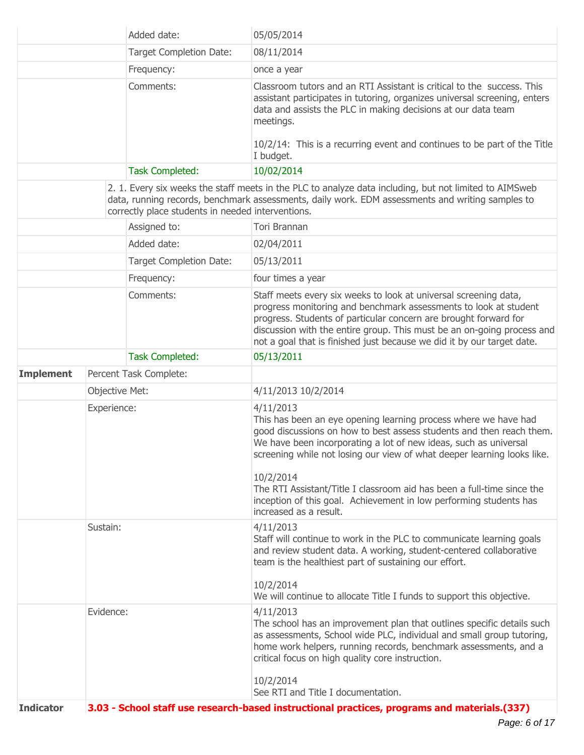| Added date:      |                |                                                   | 05/05/2014                                                                                                                                                                                                                                                                                                                                                                                                                                                                                 |  |  |
|------------------|----------------|---------------------------------------------------|--------------------------------------------------------------------------------------------------------------------------------------------------------------------------------------------------------------------------------------------------------------------------------------------------------------------------------------------------------------------------------------------------------------------------------------------------------------------------------------------|--|--|
|                  |                | <b>Target Completion Date:</b>                    | 08/11/2014                                                                                                                                                                                                                                                                                                                                                                                                                                                                                 |  |  |
|                  |                | Frequency:                                        | once a year                                                                                                                                                                                                                                                                                                                                                                                                                                                                                |  |  |
|                  |                | Comments:                                         | Classroom tutors and an RTI Assistant is critical to the success. This<br>assistant participates in tutoring, organizes universal screening, enters<br>data and assists the PLC in making decisions at our data team<br>meetings.<br>10/2/14: This is a recurring event and continues to be part of the Title<br>I budget.                                                                                                                                                                 |  |  |
|                  |                | <b>Task Completed:</b>                            | 10/02/2014                                                                                                                                                                                                                                                                                                                                                                                                                                                                                 |  |  |
|                  |                | correctly place students in needed interventions. | 2. 1. Every six weeks the staff meets in the PLC to analyze data including, but not limited to AIMSweb<br>data, running records, benchmark assessments, daily work. EDM assessments and writing samples to                                                                                                                                                                                                                                                                                 |  |  |
|                  |                | Assigned to:                                      | Tori Brannan                                                                                                                                                                                                                                                                                                                                                                                                                                                                               |  |  |
|                  |                | Added date:                                       | 02/04/2011                                                                                                                                                                                                                                                                                                                                                                                                                                                                                 |  |  |
|                  |                | <b>Target Completion Date:</b>                    | 05/13/2011                                                                                                                                                                                                                                                                                                                                                                                                                                                                                 |  |  |
|                  |                | Frequency:                                        | four times a year                                                                                                                                                                                                                                                                                                                                                                                                                                                                          |  |  |
|                  |                | Comments:                                         | Staff meets every six weeks to look at universal screening data,<br>progress monitoring and benchmark assessments to look at student<br>progress. Students of particular concern are brought forward for<br>discussion with the entire group. This must be an on-going process and<br>not a goal that is finished just because we did it by our target date.                                                                                                                               |  |  |
|                  |                | <b>Task Completed:</b>                            | 05/13/2011                                                                                                                                                                                                                                                                                                                                                                                                                                                                                 |  |  |
| <b>Implement</b> |                | Percent Task Complete:                            |                                                                                                                                                                                                                                                                                                                                                                                                                                                                                            |  |  |
|                  | Objective Met: |                                                   | 4/11/2013 10/2/2014                                                                                                                                                                                                                                                                                                                                                                                                                                                                        |  |  |
|                  | Experience:    |                                                   | 4/11/2013<br>This has been an eye opening learning process where we have had<br>good discussions on how to best assess students and then reach them.<br>We have been incorporating a lot of new ideas, such as universal<br>screening while not losing our view of what deeper learning looks like.<br>10/2/2014<br>The RTI Assistant/Title I classroom aid has been a full-time since the<br>inception of this goal. Achievement in low performing students has<br>increased as a result. |  |  |
|                  | Sustain:       |                                                   | 4/11/2013<br>Staff will continue to work in the PLC to communicate learning goals<br>and review student data. A working, student-centered collaborative<br>team is the healthiest part of sustaining our effort.<br>10/2/2014<br>We will continue to allocate Title I funds to support this objective.                                                                                                                                                                                     |  |  |
|                  | Evidence:      |                                                   | 4/11/2013<br>The school has an improvement plan that outlines specific details such<br>as assessments, School wide PLC, individual and small group tutoring,<br>home work helpers, running records, benchmark assessments, and a<br>critical focus on high quality core instruction.<br>10/2/2014<br>See RTI and Title I documentation.                                                                                                                                                    |  |  |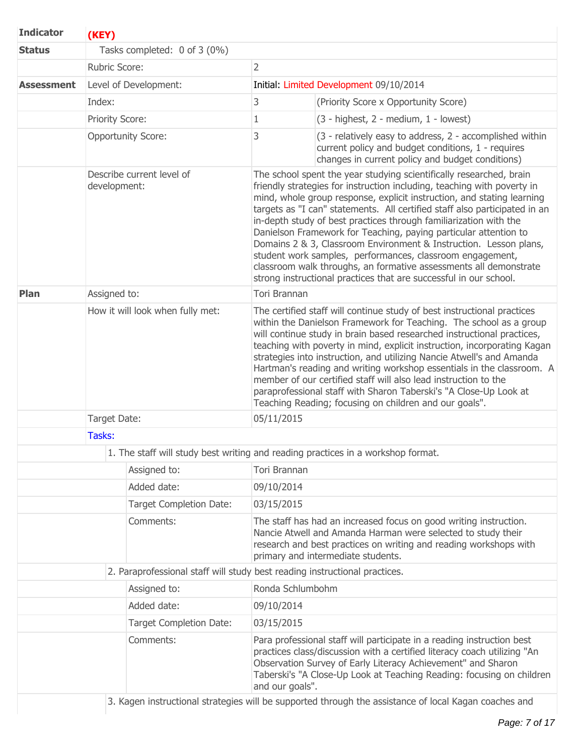| <b>Indicator</b>  | (KEY)                                                                            |                     |                                                                                                                                                                                                                                                                                                                                                                                                                                                                                                                                                                                                                                                                                                                             |  |  |  |
|-------------------|----------------------------------------------------------------------------------|---------------------|-----------------------------------------------------------------------------------------------------------------------------------------------------------------------------------------------------------------------------------------------------------------------------------------------------------------------------------------------------------------------------------------------------------------------------------------------------------------------------------------------------------------------------------------------------------------------------------------------------------------------------------------------------------------------------------------------------------------------------|--|--|--|
| <b>Status</b>     | Tasks completed: 0 of 3 (0%)                                                     |                     |                                                                                                                                                                                                                                                                                                                                                                                                                                                                                                                                                                                                                                                                                                                             |  |  |  |
|                   | Rubric Score:                                                                    | $\overline{2}$      |                                                                                                                                                                                                                                                                                                                                                                                                                                                                                                                                                                                                                                                                                                                             |  |  |  |
| <b>Assessment</b> | Level of Development:                                                            |                     | Initial: Limited Development 09/10/2014                                                                                                                                                                                                                                                                                                                                                                                                                                                                                                                                                                                                                                                                                     |  |  |  |
|                   | Index:                                                                           | 3                   | (Priority Score x Opportunity Score)                                                                                                                                                                                                                                                                                                                                                                                                                                                                                                                                                                                                                                                                                        |  |  |  |
|                   | Priority Score:                                                                  | 1                   | $(3 - highest, 2 - medium, 1 - lowest)$                                                                                                                                                                                                                                                                                                                                                                                                                                                                                                                                                                                                                                                                                     |  |  |  |
|                   | <b>Opportunity Score:</b>                                                        | 3                   | (3 - relatively easy to address, 2 - accomplished within<br>current policy and budget conditions, 1 - requires<br>changes in current policy and budget conditions)                                                                                                                                                                                                                                                                                                                                                                                                                                                                                                                                                          |  |  |  |
|                   | Describe current level of<br>development:                                        |                     | The school spent the year studying scientifically researched, brain<br>friendly strategies for instruction including, teaching with poverty in<br>mind, whole group response, explicit instruction, and stating learning<br>targets as "I can" statements. All certified staff also participated in an<br>in-depth study of best practices through familiarization with the<br>Danielson Framework for Teaching, paying particular attention to<br>Domains 2 & 3, Classroom Environment & Instruction. Lesson plans,<br>student work samples, performances, classroom engagement,<br>classroom walk throughs, an formative assessments all demonstrate<br>strong instructional practices that are successful in our school. |  |  |  |
| Plan              | Assigned to:                                                                     | <b>Tori Brannan</b> |                                                                                                                                                                                                                                                                                                                                                                                                                                                                                                                                                                                                                                                                                                                             |  |  |  |
|                   | How it will look when fully met:                                                 |                     | The certified staff will continue study of best instructional practices<br>within the Danielson Framework for Teaching. The school as a group<br>will continue study in brain based researched instructional practices,<br>teaching with poverty in mind, explicit instruction, incorporating Kagan<br>strategies into instruction, and utilizing Nancie Atwell's and Amanda<br>Hartman's reading and writing workshop essentials in the classroom. A<br>member of our certified staff will also lead instruction to the<br>paraprofessional staff with Sharon Taberski's "A Close-Up Look at<br>Teaching Reading; focusing on children and our goals".                                                                     |  |  |  |
|                   | Target Date:                                                                     | 05/11/2015          |                                                                                                                                                                                                                                                                                                                                                                                                                                                                                                                                                                                                                                                                                                                             |  |  |  |
|                   | Tasks:                                                                           |                     |                                                                                                                                                                                                                                                                                                                                                                                                                                                                                                                                                                                                                                                                                                                             |  |  |  |
|                   | 1. The staff will study best writing and reading practices in a workshop format. |                     |                                                                                                                                                                                                                                                                                                                                                                                                                                                                                                                                                                                                                                                                                                                             |  |  |  |
|                   | Assigned to:                                                                     |                     | Tori Brannan                                                                                                                                                                                                                                                                                                                                                                                                                                                                                                                                                                                                                                                                                                                |  |  |  |
|                   | Added date:                                                                      | 09/10/2014          |                                                                                                                                                                                                                                                                                                                                                                                                                                                                                                                                                                                                                                                                                                                             |  |  |  |
|                   | Target Completion Date:                                                          | 03/15/2015          |                                                                                                                                                                                                                                                                                                                                                                                                                                                                                                                                                                                                                                                                                                                             |  |  |  |
| Comments:         |                                                                                  |                     | The staff has had an increased focus on good writing instruction.<br>Nancie Atwell and Amanda Harman were selected to study their<br>research and best practices on writing and reading workshops with<br>primary and intermediate students.                                                                                                                                                                                                                                                                                                                                                                                                                                                                                |  |  |  |
|                   | 2. Paraprofessional staff will study best reading instructional practices.       |                     |                                                                                                                                                                                                                                                                                                                                                                                                                                                                                                                                                                                                                                                                                                                             |  |  |  |
|                   | Assigned to:                                                                     | Ronda Schlumbohm    |                                                                                                                                                                                                                                                                                                                                                                                                                                                                                                                                                                                                                                                                                                                             |  |  |  |
|                   | Added date:                                                                      | 09/10/2014          |                                                                                                                                                                                                                                                                                                                                                                                                                                                                                                                                                                                                                                                                                                                             |  |  |  |
|                   | <b>Target Completion Date:</b>                                                   | 03/15/2015          |                                                                                                                                                                                                                                                                                                                                                                                                                                                                                                                                                                                                                                                                                                                             |  |  |  |
|                   | Comments:                                                                        | and our goals".     | Para professional staff will participate in a reading instruction best<br>practices class/discussion with a certified literacy coach utilizing "An<br>Observation Survey of Early Literacy Achievement" and Sharon<br>Taberski's "A Close-Up Look at Teaching Reading: focusing on children<br>3. Kagen instructional strategies will be supported through the assistance of local Kagan coaches and                                                                                                                                                                                                                                                                                                                        |  |  |  |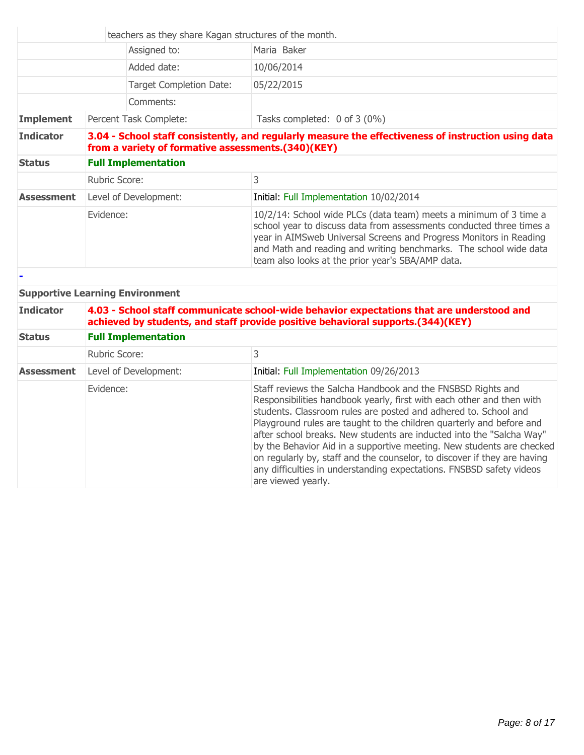|                   |                                                                                                                                                           | teachers as they share Kagan structures of the month.                                                                                                                                                                                                                                                                                     |  |
|-------------------|-----------------------------------------------------------------------------------------------------------------------------------------------------------|-------------------------------------------------------------------------------------------------------------------------------------------------------------------------------------------------------------------------------------------------------------------------------------------------------------------------------------------|--|
|                   | Assigned to:                                                                                                                                              | Maria Baker                                                                                                                                                                                                                                                                                                                               |  |
|                   | Added date:                                                                                                                                               | 10/06/2014                                                                                                                                                                                                                                                                                                                                |  |
|                   | Target Completion Date:                                                                                                                                   | 05/22/2015                                                                                                                                                                                                                                                                                                                                |  |
|                   | Comments:                                                                                                                                                 |                                                                                                                                                                                                                                                                                                                                           |  |
| <b>Implement</b>  | Percent Task Complete:                                                                                                                                    | Tasks completed: 0 of 3 (0%)                                                                                                                                                                                                                                                                                                              |  |
| <b>Indicator</b>  | 3.04 - School staff consistently, and regularly measure the effectiveness of instruction using data<br>from a variety of formative assessments.(340)(KEY) |                                                                                                                                                                                                                                                                                                                                           |  |
| <b>Status</b>     | <b>Full Implementation</b>                                                                                                                                |                                                                                                                                                                                                                                                                                                                                           |  |
|                   | Rubric Score:                                                                                                                                             | 3                                                                                                                                                                                                                                                                                                                                         |  |
| <b>Assessment</b> | Level of Development:                                                                                                                                     | Initial: Full Implementation 10/02/2014                                                                                                                                                                                                                                                                                                   |  |
|                   | Evidence:                                                                                                                                                 | 10/2/14: School wide PLCs (data team) meets a minimum of 3 time a<br>school year to discuss data from assessments conducted three times a<br>year in AIMSweb Universal Screens and Progress Monitors in Reading<br>and Math and reading and writing benchmarks. The school wide data<br>team also looks at the prior year's SBA/AMP data. |  |
|                   |                                                                                                                                                           |                                                                                                                                                                                                                                                                                                                                           |  |

## **Supportive Learning Environment**

| <b>Indicator</b>  | 4.03 - School staff communicate school-wide behavior expectations that are understood and<br>achieved by students, and staff provide positive behavioral supports.(344)(KEY) |                                                                                                                                                                                                                                                                                                                                                                                                                                                                                                                                                                                                            |  |  |
|-------------------|------------------------------------------------------------------------------------------------------------------------------------------------------------------------------|------------------------------------------------------------------------------------------------------------------------------------------------------------------------------------------------------------------------------------------------------------------------------------------------------------------------------------------------------------------------------------------------------------------------------------------------------------------------------------------------------------------------------------------------------------------------------------------------------------|--|--|
| <b>Status</b>     | <b>Full Implementation</b>                                                                                                                                                   |                                                                                                                                                                                                                                                                                                                                                                                                                                                                                                                                                                                                            |  |  |
|                   | 3<br><b>Rubric Score:</b>                                                                                                                                                    |                                                                                                                                                                                                                                                                                                                                                                                                                                                                                                                                                                                                            |  |  |
| <b>Assessment</b> | Level of Development:<br>Initial: Full Implementation 09/26/2013                                                                                                             |                                                                                                                                                                                                                                                                                                                                                                                                                                                                                                                                                                                                            |  |  |
|                   | Evidence:                                                                                                                                                                    | Staff reviews the Salcha Handbook and the FNSBSD Rights and<br>Responsibilities handbook yearly, first with each other and then with<br>students. Classroom rules are posted and adhered to. School and<br>Playground rules are taught to the children quarterly and before and<br>after school breaks. New students are inducted into the "Salcha Way"<br>by the Behavior Aid in a supportive meeting. New students are checked<br>on regularly by, staff and the counselor, to discover if they are having<br>any difficulties in understanding expectations. FNSBSD safety videos<br>are viewed yearly. |  |  |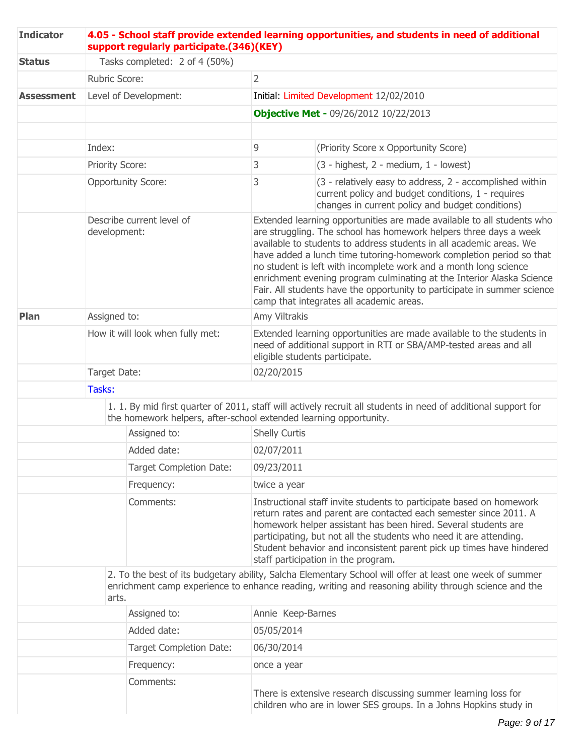| <b>Indicator</b>  |                                  | support regularly participate.(346)(KEY)                          | 4.05 - School staff provide extended learning opportunities, and students in need of additional                                                                                                                                                                                                                                                                                                                                                                                                                                                                |                                                                                                                                                                              |  |  |
|-------------------|----------------------------------|-------------------------------------------------------------------|----------------------------------------------------------------------------------------------------------------------------------------------------------------------------------------------------------------------------------------------------------------------------------------------------------------------------------------------------------------------------------------------------------------------------------------------------------------------------------------------------------------------------------------------------------------|------------------------------------------------------------------------------------------------------------------------------------------------------------------------------|--|--|
| <b>Status</b>     | Tasks completed: 2 of 4 (50%)    |                                                                   |                                                                                                                                                                                                                                                                                                                                                                                                                                                                                                                                                                |                                                                                                                                                                              |  |  |
|                   |                                  | <b>Rubric Score:</b>                                              | $\overline{2}$                                                                                                                                                                                                                                                                                                                                                                                                                                                                                                                                                 |                                                                                                                                                                              |  |  |
| <b>Assessment</b> |                                  | Level of Development:                                             |                                                                                                                                                                                                                                                                                                                                                                                                                                                                                                                                                                | Initial: Limited Development 12/02/2010                                                                                                                                      |  |  |
|                   |                                  |                                                                   |                                                                                                                                                                                                                                                                                                                                                                                                                                                                                                                                                                | <b>Objective Met - 09/26/2012 10/22/2013</b>                                                                                                                                 |  |  |
|                   |                                  |                                                                   |                                                                                                                                                                                                                                                                                                                                                                                                                                                                                                                                                                |                                                                                                                                                                              |  |  |
|                   | Index:                           |                                                                   | 9                                                                                                                                                                                                                                                                                                                                                                                                                                                                                                                                                              | (Priority Score x Opportunity Score)                                                                                                                                         |  |  |
|                   |                                  | Priority Score:                                                   | 3                                                                                                                                                                                                                                                                                                                                                                                                                                                                                                                                                              | (3 - highest, 2 - medium, 1 - lowest)                                                                                                                                        |  |  |
|                   |                                  | <b>Opportunity Score:</b>                                         | 3                                                                                                                                                                                                                                                                                                                                                                                                                                                                                                                                                              | (3 - relatively easy to address, 2 - accomplished within<br>current policy and budget conditions, 1 - requires<br>changes in current policy and budget conditions)           |  |  |
|                   |                                  | Describe current level of<br>development:                         | Extended learning opportunities are made available to all students who<br>are struggling. The school has homework helpers three days a week<br>available to students to address students in all academic areas. We<br>have added a lunch time tutoring-homework completion period so that<br>no student is left with incomplete work and a month long science<br>enrichment evening program culminating at the Interior Alaska Science<br>Fair. All students have the opportunity to participate in summer science<br>camp that integrates all academic areas. |                                                                                                                                                                              |  |  |
| Plan              | Assigned to:                     |                                                                   |                                                                                                                                                                                                                                                                                                                                                                                                                                                                                                                                                                | Amy Viltrakis                                                                                                                                                                |  |  |
|                   | How it will look when fully met: |                                                                   |                                                                                                                                                                                                                                                                                                                                                                                                                                                                                                                                                                | Extended learning opportunities are made available to the students in<br>need of additional support in RTI or SBA/AMP-tested areas and all<br>eligible students participate. |  |  |
|                   | Target Date:                     |                                                                   | 02/20/2015                                                                                                                                                                                                                                                                                                                                                                                                                                                                                                                                                     |                                                                                                                                                                              |  |  |
|                   | Tasks:                           |                                                                   |                                                                                                                                                                                                                                                                                                                                                                                                                                                                                                                                                                |                                                                                                                                                                              |  |  |
|                   |                                  | the homework helpers, after-school extended learning opportunity. |                                                                                                                                                                                                                                                                                                                                                                                                                                                                                                                                                                | 1. 1. By mid first quarter of 2011, staff will actively recruit all students in need of additional support for                                                               |  |  |
|                   |                                  | Assigned to:                                                      | <b>Shelly Curtis</b>                                                                                                                                                                                                                                                                                                                                                                                                                                                                                                                                           |                                                                                                                                                                              |  |  |
|                   |                                  | Added date:                                                       | 02/07/2011                                                                                                                                                                                                                                                                                                                                                                                                                                                                                                                                                     |                                                                                                                                                                              |  |  |
|                   | <b>Target Completion Date:</b>   |                                                                   | 09/23/2011                                                                                                                                                                                                                                                                                                                                                                                                                                                                                                                                                     |                                                                                                                                                                              |  |  |
|                   |                                  | Frequency:                                                        | twice a year                                                                                                                                                                                                                                                                                                                                                                                                                                                                                                                                                   |                                                                                                                                                                              |  |  |
|                   | Comments:                        |                                                                   | Instructional staff invite students to participate based on homework<br>return rates and parent are contacted each semester since 2011. A<br>homework helper assistant has been hired. Several students are<br>participating, but not all the students who need it are attending.<br>Student behavior and inconsistent parent pick up times have hindered<br>staff participation in the program.                                                                                                                                                               |                                                                                                                                                                              |  |  |
|                   |                                  | arts.                                                             | 2. To the best of its budgetary ability, Salcha Elementary School will offer at least one week of summer<br>enrichment camp experience to enhance reading, writing and reasoning ability through science and the                                                                                                                                                                                                                                                                                                                                               |                                                                                                                                                                              |  |  |
|                   |                                  | Assigned to:                                                      |                                                                                                                                                                                                                                                                                                                                                                                                                                                                                                                                                                | Annie Keep-Barnes                                                                                                                                                            |  |  |
|                   |                                  | Added date:                                                       | 05/05/2014                                                                                                                                                                                                                                                                                                                                                                                                                                                                                                                                                     |                                                                                                                                                                              |  |  |
|                   |                                  | <b>Target Completion Date:</b>                                    | 06/30/2014                                                                                                                                                                                                                                                                                                                                                                                                                                                                                                                                                     |                                                                                                                                                                              |  |  |
|                   |                                  | Frequency:                                                        | once a year                                                                                                                                                                                                                                                                                                                                                                                                                                                                                                                                                    |                                                                                                                                                                              |  |  |
|                   |                                  | Comments:                                                         |                                                                                                                                                                                                                                                                                                                                                                                                                                                                                                                                                                | There is extensive research discussing summer learning loss for<br>children who are in lower SES groups. In a Johns Hopkins study in                                         |  |  |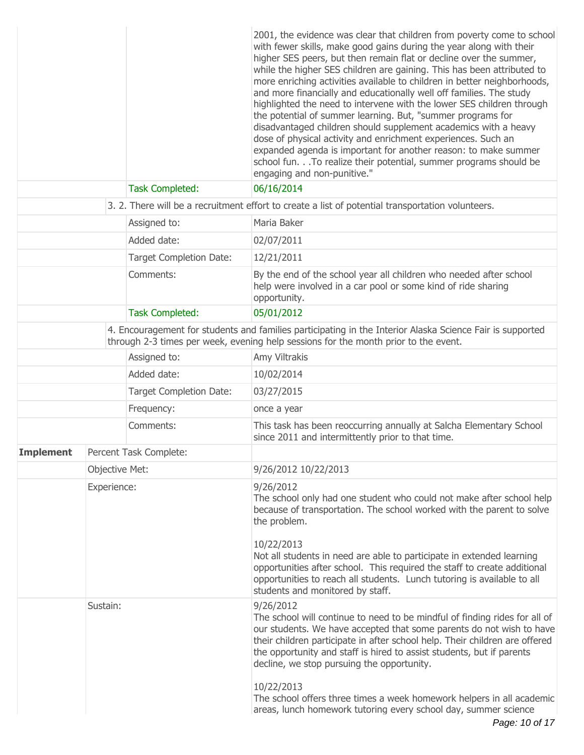|                  |          |                                | 2001, the evidence was clear that children from poverty come to school<br>with fewer skills, make good gains during the year along with their<br>higher SES peers, but then remain flat or decline over the summer,<br>while the higher SES children are gaining. This has been attributed to<br>more enriching activities available to children in better neighborhoods,<br>and more financially and educationally well off families. The study<br>highlighted the need to intervene with the lower SES children through<br>the potential of summer learning. But, "summer programs for<br>disadvantaged children should supplement academics with a heavy<br>dose of physical activity and enrichment experiences. Such an<br>expanded agenda is important for another reason: to make summer<br>school fun. To realize their potential, summer programs should be<br>engaging and non-punitive." |
|------------------|----------|--------------------------------|-----------------------------------------------------------------------------------------------------------------------------------------------------------------------------------------------------------------------------------------------------------------------------------------------------------------------------------------------------------------------------------------------------------------------------------------------------------------------------------------------------------------------------------------------------------------------------------------------------------------------------------------------------------------------------------------------------------------------------------------------------------------------------------------------------------------------------------------------------------------------------------------------------|
|                  |          | <b>Task Completed:</b>         | 06/16/2014                                                                                                                                                                                                                                                                                                                                                                                                                                                                                                                                                                                                                                                                                                                                                                                                                                                                                          |
|                  |          |                                | 3. 2. There will be a recruitment effort to create a list of potential transportation volunteers.                                                                                                                                                                                                                                                                                                                                                                                                                                                                                                                                                                                                                                                                                                                                                                                                   |
|                  |          | Assigned to:                   | Maria Baker                                                                                                                                                                                                                                                                                                                                                                                                                                                                                                                                                                                                                                                                                                                                                                                                                                                                                         |
|                  |          | Added date:                    | 02/07/2011                                                                                                                                                                                                                                                                                                                                                                                                                                                                                                                                                                                                                                                                                                                                                                                                                                                                                          |
|                  |          | <b>Target Completion Date:</b> | 12/21/2011                                                                                                                                                                                                                                                                                                                                                                                                                                                                                                                                                                                                                                                                                                                                                                                                                                                                                          |
|                  |          | Comments:                      | By the end of the school year all children who needed after school<br>help were involved in a car pool or some kind of ride sharing<br>opportunity.                                                                                                                                                                                                                                                                                                                                                                                                                                                                                                                                                                                                                                                                                                                                                 |
|                  |          | <b>Task Completed:</b>         | 05/01/2012                                                                                                                                                                                                                                                                                                                                                                                                                                                                                                                                                                                                                                                                                                                                                                                                                                                                                          |
|                  |          |                                | 4. Encouragement for students and families participating in the Interior Alaska Science Fair is supported<br>through 2-3 times per week, evening help sessions for the month prior to the event.                                                                                                                                                                                                                                                                                                                                                                                                                                                                                                                                                                                                                                                                                                    |
|                  |          | Assigned to:                   | Amy Viltrakis                                                                                                                                                                                                                                                                                                                                                                                                                                                                                                                                                                                                                                                                                                                                                                                                                                                                                       |
|                  |          | Added date:                    | 10/02/2014                                                                                                                                                                                                                                                                                                                                                                                                                                                                                                                                                                                                                                                                                                                                                                                                                                                                                          |
|                  |          | Target Completion Date:        | 03/27/2015                                                                                                                                                                                                                                                                                                                                                                                                                                                                                                                                                                                                                                                                                                                                                                                                                                                                                          |
|                  |          | Frequency:                     | once a year                                                                                                                                                                                                                                                                                                                                                                                                                                                                                                                                                                                                                                                                                                                                                                                                                                                                                         |
|                  |          | Comments:                      | This task has been reoccurring annually at Salcha Elementary School<br>since 2011 and intermittently prior to that time.                                                                                                                                                                                                                                                                                                                                                                                                                                                                                                                                                                                                                                                                                                                                                                            |
| <b>Implement</b> |          | Percent Task Complete:         |                                                                                                                                                                                                                                                                                                                                                                                                                                                                                                                                                                                                                                                                                                                                                                                                                                                                                                     |
|                  |          | Objective Met:                 | 9/26/2012 10/22/2013                                                                                                                                                                                                                                                                                                                                                                                                                                                                                                                                                                                                                                                                                                                                                                                                                                                                                |
|                  |          | Experience:                    | 9/26/2012<br>The school only had one student who could not make after school help<br>because of transportation. The school worked with the parent to solve<br>the problem.<br>10/22/2013<br>Not all students in need are able to participate in extended learning<br>opportunities after school. This required the staff to create additional                                                                                                                                                                                                                                                                                                                                                                                                                                                                                                                                                       |
|                  |          |                                | opportunities to reach all students. Lunch tutoring is available to all<br>students and monitored by staff.                                                                                                                                                                                                                                                                                                                                                                                                                                                                                                                                                                                                                                                                                                                                                                                         |
|                  | Sustain: |                                | 9/26/2012<br>The school will continue to need to be mindful of finding rides for all of<br>our students. We have accepted that some parents do not wish to have<br>their children participate in after school help. Their children are offered<br>the opportunity and staff is hired to assist students, but if parents<br>decline, we stop pursuing the opportunity.                                                                                                                                                                                                                                                                                                                                                                                                                                                                                                                               |
|                  |          |                                | 10/22/2013<br>The school offers three times a week homework helpers in all academic<br>areas, lunch homework tutoring every school day, summer science                                                                                                                                                                                                                                                                                                                                                                                                                                                                                                                                                                                                                                                                                                                                              |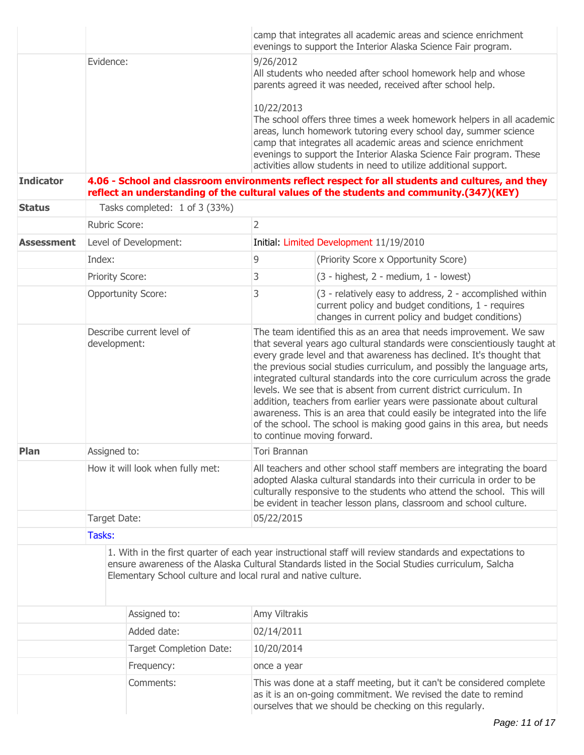|                   |                                           |                                                               | camp that integrates all academic areas and science enrichment<br>evenings to support the Interior Alaska Science Fair program.                                                                                                                                                                                                                                                                                                                                                                                                                                                                                                                                                                                 |                                                                                                                                                                                                              |  |  |
|-------------------|-------------------------------------------|---------------------------------------------------------------|-----------------------------------------------------------------------------------------------------------------------------------------------------------------------------------------------------------------------------------------------------------------------------------------------------------------------------------------------------------------------------------------------------------------------------------------------------------------------------------------------------------------------------------------------------------------------------------------------------------------------------------------------------------------------------------------------------------------|--------------------------------------------------------------------------------------------------------------------------------------------------------------------------------------------------------------|--|--|
|                   | Evidence:                                 |                                                               | 9/26/2012<br>All students who needed after school homework help and whose<br>parents agreed it was needed, received after school help.                                                                                                                                                                                                                                                                                                                                                                                                                                                                                                                                                                          |                                                                                                                                                                                                              |  |  |
|                   |                                           |                                                               | 10/22/2013<br>The school offers three times a week homework helpers in all academic<br>areas, lunch homework tutoring every school day, summer science<br>camp that integrates all academic areas and science enrichment<br>evenings to support the Interior Alaska Science Fair program. These<br>activities allow students in need to utilize additional support.                                                                                                                                                                                                                                                                                                                                             |                                                                                                                                                                                                              |  |  |
| <b>Indicator</b>  |                                           |                                                               |                                                                                                                                                                                                                                                                                                                                                                                                                                                                                                                                                                                                                                                                                                                 | 4.06 - School and classroom environments reflect respect for all students and cultures, and they<br>reflect an understanding of the cultural values of the students and community.(347)(KEY)                 |  |  |
| <b>Status</b>     |                                           | Tasks completed: 1 of 3 (33%)                                 |                                                                                                                                                                                                                                                                                                                                                                                                                                                                                                                                                                                                                                                                                                                 |                                                                                                                                                                                                              |  |  |
|                   | <b>Rubric Score:</b>                      |                                                               | $\overline{2}$                                                                                                                                                                                                                                                                                                                                                                                                                                                                                                                                                                                                                                                                                                  |                                                                                                                                                                                                              |  |  |
| <b>Assessment</b> |                                           | Level of Development:                                         |                                                                                                                                                                                                                                                                                                                                                                                                                                                                                                                                                                                                                                                                                                                 | Initial: Limited Development 11/19/2010                                                                                                                                                                      |  |  |
|                   | Index:                                    |                                                               | $\overline{9}$                                                                                                                                                                                                                                                                                                                                                                                                                                                                                                                                                                                                                                                                                                  | (Priority Score x Opportunity Score)                                                                                                                                                                         |  |  |
|                   | Priority Score:                           |                                                               | 3                                                                                                                                                                                                                                                                                                                                                                                                                                                                                                                                                                                                                                                                                                               | (3 - highest, 2 - medium, 1 - lowest)                                                                                                                                                                        |  |  |
|                   |                                           | <b>Opportunity Score:</b>                                     | 3                                                                                                                                                                                                                                                                                                                                                                                                                                                                                                                                                                                                                                                                                                               | (3 - relatively easy to address, 2 - accomplished within<br>current policy and budget conditions, 1 - requires<br>changes in current policy and budget conditions)                                           |  |  |
|                   | Describe current level of<br>development: |                                                               | The team identified this as an area that needs improvement. We saw<br>that several years ago cultural standards were conscientiously taught at<br>every grade level and that awareness has declined. It's thought that<br>the previous social studies curriculum, and possibly the language arts,<br>integrated cultural standards into the core curriculum across the grade<br>levels. We see that is absent from current district curriculum. In<br>addition, teachers from earlier years were passionate about cultural<br>awareness. This is an area that could easily be integrated into the life<br>of the school. The school is making good gains in this area, but needs<br>to continue moving forward. |                                                                                                                                                                                                              |  |  |
| Plan              | Assigned to:                              |                                                               | Tori Brannan                                                                                                                                                                                                                                                                                                                                                                                                                                                                                                                                                                                                                                                                                                    |                                                                                                                                                                                                              |  |  |
|                   | How it will look when fully met:          |                                                               | All teachers and other school staff members are integrating the board<br>adopted Alaska cultural standards into their curricula in order to be<br>culturally responsive to the students who attend the school. This will<br>be evident in teacher lesson plans, classroom and school culture.                                                                                                                                                                                                                                                                                                                                                                                                                   |                                                                                                                                                                                                              |  |  |
|                   | Target Date:                              |                                                               | 05/22/2015                                                                                                                                                                                                                                                                                                                                                                                                                                                                                                                                                                                                                                                                                                      |                                                                                                                                                                                                              |  |  |
|                   | Tasks:                                    |                                                               |                                                                                                                                                                                                                                                                                                                                                                                                                                                                                                                                                                                                                                                                                                                 |                                                                                                                                                                                                              |  |  |
|                   |                                           | Elementary School culture and local rural and native culture. |                                                                                                                                                                                                                                                                                                                                                                                                                                                                                                                                                                                                                                                                                                                 | 1. With in the first quarter of each year instructional staff will review standards and expectations to<br>ensure awareness of the Alaska Cultural Standards listed in the Social Studies curriculum, Salcha |  |  |
|                   |                                           | Assigned to:                                                  | Amy Viltrakis                                                                                                                                                                                                                                                                                                                                                                                                                                                                                                                                                                                                                                                                                                   |                                                                                                                                                                                                              |  |  |
|                   |                                           | Added date:                                                   | 02/14/2011                                                                                                                                                                                                                                                                                                                                                                                                                                                                                                                                                                                                                                                                                                      |                                                                                                                                                                                                              |  |  |
|                   |                                           | <b>Target Completion Date:</b>                                | 10/20/2014                                                                                                                                                                                                                                                                                                                                                                                                                                                                                                                                                                                                                                                                                                      |                                                                                                                                                                                                              |  |  |
|                   |                                           | Frequency:                                                    | once a year                                                                                                                                                                                                                                                                                                                                                                                                                                                                                                                                                                                                                                                                                                     |                                                                                                                                                                                                              |  |  |
|                   |                                           | Comments:                                                     | This was done at a staff meeting, but it can't be considered complete<br>as it is an on-going commitment. We revised the date to remind<br>ourselves that we should be checking on this regularly.                                                                                                                                                                                                                                                                                                                                                                                                                                                                                                              |                                                                                                                                                                                                              |  |  |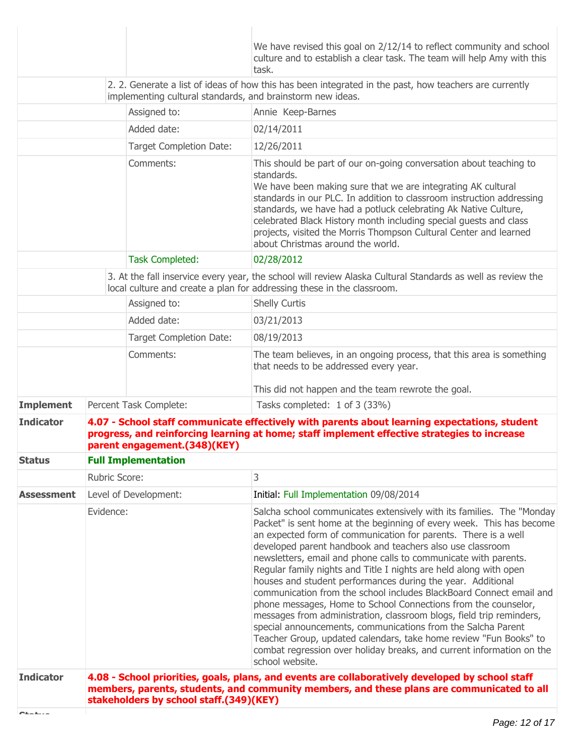| We have revised this goal on 2/12/14 to reflect community and school                                                                                                                                                                                                                                                                                                                                                                                                                                                                                                                                                                                                                                                                                                                                                                                                                                                                               |  |
|----------------------------------------------------------------------------------------------------------------------------------------------------------------------------------------------------------------------------------------------------------------------------------------------------------------------------------------------------------------------------------------------------------------------------------------------------------------------------------------------------------------------------------------------------------------------------------------------------------------------------------------------------------------------------------------------------------------------------------------------------------------------------------------------------------------------------------------------------------------------------------------------------------------------------------------------------|--|
| culture and to establish a clear task. The team will help Amy with this<br>task.                                                                                                                                                                                                                                                                                                                                                                                                                                                                                                                                                                                                                                                                                                                                                                                                                                                                   |  |
| 2. 2. Generate a list of ideas of how this has been integrated in the past, how teachers are currently<br>implementing cultural standards, and brainstorm new ideas.                                                                                                                                                                                                                                                                                                                                                                                                                                                                                                                                                                                                                                                                                                                                                                               |  |
| Assigned to:<br>Annie Keep-Barnes                                                                                                                                                                                                                                                                                                                                                                                                                                                                                                                                                                                                                                                                                                                                                                                                                                                                                                                  |  |
| Added date:<br>02/14/2011                                                                                                                                                                                                                                                                                                                                                                                                                                                                                                                                                                                                                                                                                                                                                                                                                                                                                                                          |  |
| <b>Target Completion Date:</b><br>12/26/2011                                                                                                                                                                                                                                                                                                                                                                                                                                                                                                                                                                                                                                                                                                                                                                                                                                                                                                       |  |
| Comments:<br>This should be part of our on-going conversation about teaching to<br>standards.<br>We have been making sure that we are integrating AK cultural<br>standards in our PLC. In addition to classroom instruction addressing<br>standards, we have had a potluck celebrating Ak Native Culture,<br>celebrated Black History month including special guests and class<br>projects, visited the Morris Thompson Cultural Center and learned<br>about Christmas around the world.                                                                                                                                                                                                                                                                                                                                                                                                                                                           |  |
| <b>Task Completed:</b><br>02/28/2012                                                                                                                                                                                                                                                                                                                                                                                                                                                                                                                                                                                                                                                                                                                                                                                                                                                                                                               |  |
| 3. At the fall inservice every year, the school will review Alaska Cultural Standards as well as review the<br>local culture and create a plan for addressing these in the classroom.                                                                                                                                                                                                                                                                                                                                                                                                                                                                                                                                                                                                                                                                                                                                                              |  |
| Assigned to:<br><b>Shelly Curtis</b>                                                                                                                                                                                                                                                                                                                                                                                                                                                                                                                                                                                                                                                                                                                                                                                                                                                                                                               |  |
| Added date:<br>03/21/2013                                                                                                                                                                                                                                                                                                                                                                                                                                                                                                                                                                                                                                                                                                                                                                                                                                                                                                                          |  |
| <b>Target Completion Date:</b><br>08/19/2013                                                                                                                                                                                                                                                                                                                                                                                                                                                                                                                                                                                                                                                                                                                                                                                                                                                                                                       |  |
| Comments:<br>The team believes, in an ongoing process, that this area is something<br>that needs to be addressed every year.                                                                                                                                                                                                                                                                                                                                                                                                                                                                                                                                                                                                                                                                                                                                                                                                                       |  |
| This did not happen and the team rewrote the goal.                                                                                                                                                                                                                                                                                                                                                                                                                                                                                                                                                                                                                                                                                                                                                                                                                                                                                                 |  |
| <b>Implement</b><br>Tasks completed: 1 of 3 (33%)<br>Percent Task Complete:                                                                                                                                                                                                                                                                                                                                                                                                                                                                                                                                                                                                                                                                                                                                                                                                                                                                        |  |
| <b>Indicator</b><br>4.07 - School staff communicate effectively with parents about learning expectations, student<br>progress, and reinforcing learning at home; staff implement effective strategies to increase<br>parent engagement.(348)(KEY)                                                                                                                                                                                                                                                                                                                                                                                                                                                                                                                                                                                                                                                                                                  |  |
| <b>Full Implementation</b><br><b>Status</b>                                                                                                                                                                                                                                                                                                                                                                                                                                                                                                                                                                                                                                                                                                                                                                                                                                                                                                        |  |
| 3<br>Rubric Score:                                                                                                                                                                                                                                                                                                                                                                                                                                                                                                                                                                                                                                                                                                                                                                                                                                                                                                                                 |  |
| Level of Development:<br>Initial: Full Implementation 09/08/2014<br><b>Assessment</b>                                                                                                                                                                                                                                                                                                                                                                                                                                                                                                                                                                                                                                                                                                                                                                                                                                                              |  |
| Evidence:<br>Salcha school communicates extensively with its families. The "Monday<br>Packet" is sent home at the beginning of every week. This has become<br>an expected form of communication for parents. There is a well<br>developed parent handbook and teachers also use classroom<br>newsletters, email and phone calls to communicate with parents.<br>Regular family nights and Title I nights are held along with open<br>houses and student performances during the year. Additional<br>communication from the school includes BlackBoard Connect email and<br>phone messages, Home to School Connections from the counselor,<br>messages from administration, classroom blogs, field trip reminders,<br>special announcements, communications from the Salcha Parent<br>Teacher Group, updated calendars, take home review "Fun Books" to<br>combat regression over holiday breaks, and current information on the<br>school website. |  |
| 4.08 - School priorities, goals, plans, and events are collaboratively developed by school staff<br><b>Indicator</b><br>members, parents, students, and community members, and these plans are communicated to all<br>stakeholders by school staff.(349)(KEY)<br><b>Barbara</b>                                                                                                                                                                                                                                                                                                                                                                                                                                                                                                                                                                                                                                                                    |  |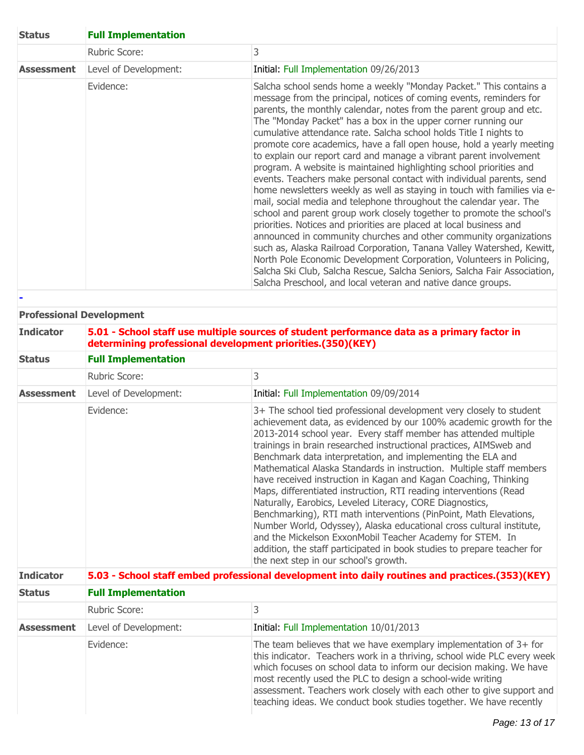| <b>Status</b>     | <b>Full Implementation</b> |                                                                                                                                                                                                                                                                                                                                                                                                                                                                                                                                                                                                                                                                                                                                                                                                                                                                                                                                                                                                                                                                                                                                                                                                                                                                                                                           |  |
|-------------------|----------------------------|---------------------------------------------------------------------------------------------------------------------------------------------------------------------------------------------------------------------------------------------------------------------------------------------------------------------------------------------------------------------------------------------------------------------------------------------------------------------------------------------------------------------------------------------------------------------------------------------------------------------------------------------------------------------------------------------------------------------------------------------------------------------------------------------------------------------------------------------------------------------------------------------------------------------------------------------------------------------------------------------------------------------------------------------------------------------------------------------------------------------------------------------------------------------------------------------------------------------------------------------------------------------------------------------------------------------------|--|
|                   | Rubric Score:              | 3                                                                                                                                                                                                                                                                                                                                                                                                                                                                                                                                                                                                                                                                                                                                                                                                                                                                                                                                                                                                                                                                                                                                                                                                                                                                                                                         |  |
| <b>Assessment</b> | Level of Development:      | Initial: Full Implementation 09/26/2013                                                                                                                                                                                                                                                                                                                                                                                                                                                                                                                                                                                                                                                                                                                                                                                                                                                                                                                                                                                                                                                                                                                                                                                                                                                                                   |  |
|                   | Evidence:                  | Salcha school sends home a weekly "Monday Packet." This contains a<br>message from the principal, notices of coming events, reminders for<br>parents, the monthly calendar, notes from the parent group and etc.<br>The "Monday Packet" has a box in the upper corner running our<br>cumulative attendance rate. Salcha school holds Title I nights to<br>promote core academics, have a fall open house, hold a yearly meeting<br>to explain our report card and manage a vibrant parent involvement<br>program. A website is maintained highlighting school priorities and<br>events. Teachers make personal contact with individual parents, send<br>home newsletters weekly as well as staying in touch with families via e-<br>mail, social media and telephone throughout the calendar year. The<br>school and parent group work closely together to promote the school's<br>priorities. Notices and priorities are placed at local business and<br>announced in community churches and other community organizations<br>such as, Alaska Railroad Corporation, Tanana Valley Watershed, Kewitt,<br>North Pole Economic Development Corporation, Volunteers in Policing,<br>Salcha Ski Club, Salcha Rescue, Salcha Seniors, Salcha Fair Association,<br>Salcha Preschool, and local veteran and native dance groups. |  |

### **Professional Development**

| <b>Indicator</b>  | 5.01 - School staff use multiple sources of student performance data as a primary factor in<br>determining professional development priorities.(350)(KEY) |                                                                                                                                                                                         |  |  |
|-------------------|-----------------------------------------------------------------------------------------------------------------------------------------------------------|-----------------------------------------------------------------------------------------------------------------------------------------------------------------------------------------|--|--|
| <b>Status</b>     | <b>Full Implementation</b>                                                                                                                                |                                                                                                                                                                                         |  |  |
|                   | Rubric Score:                                                                                                                                             |                                                                                                                                                                                         |  |  |
| <b>Assessment</b> | Level of Development:                                                                                                                                     | Initial: Full Implementation 09/09/2014                                                                                                                                                 |  |  |
|                   | Evidence:                                                                                                                                                 | 3+ The school tied professional development very closely to student<br>related the set of the complete the set of the set of the set of the set of the set of the set of the set of the |  |  |

|  | achievement data, as evidenced by our 100% academic growth for the<br>2013-2014 school year. Every staff member has attended multiple<br>trainings in brain researched instructional practices, AIMSweb and<br>Benchmark data interpretation, and implementing the ELA and<br>Mathematical Alaska Standards in instruction. Multiple staff members<br>have received instruction in Kagan and Kagan Coaching, Thinking<br>Maps, differentiated instruction, RTI reading interventions (Read<br>Naturally, Earobics, Leveled Literacy, CORE Diagnostics,<br>Benchmarking), RTI math interventions (PinPoint, Math Elevations,<br>Number World, Odyssey), Alaska educational cross cultural institute,<br>and the Mickelson ExxonMobil Teacher Academy for STEM. In |
|--|------------------------------------------------------------------------------------------------------------------------------------------------------------------------------------------------------------------------------------------------------------------------------------------------------------------------------------------------------------------------------------------------------------------------------------------------------------------------------------------------------------------------------------------------------------------------------------------------------------------------------------------------------------------------------------------------------------------------------------------------------------------|
|--|------------------------------------------------------------------------------------------------------------------------------------------------------------------------------------------------------------------------------------------------------------------------------------------------------------------------------------------------------------------------------------------------------------------------------------------------------------------------------------------------------------------------------------------------------------------------------------------------------------------------------------------------------------------------------------------------------------------------------------------------------------------|

| <b>Indicator</b>  | 5.03 - School staff embed professional development into daily routines and practices.(353)(KEY) |                                                                                                                                                                                                                                                                                                                                                                                                                                    |  |
|-------------------|-------------------------------------------------------------------------------------------------|------------------------------------------------------------------------------------------------------------------------------------------------------------------------------------------------------------------------------------------------------------------------------------------------------------------------------------------------------------------------------------------------------------------------------------|--|
| <b>Status</b>     | <b>Full Implementation</b>                                                                      |                                                                                                                                                                                                                                                                                                                                                                                                                                    |  |
|                   | Rubric Score:                                                                                   | 3                                                                                                                                                                                                                                                                                                                                                                                                                                  |  |
| <b>Assessment</b> | Level of Development:                                                                           | Initial: Full Implementation 10/01/2013                                                                                                                                                                                                                                                                                                                                                                                            |  |
|                   | Evidence:                                                                                       | The team believes that we have exemplary implementation of $3+$ for<br>this indicator. Teachers work in a thriving, school wide PLC every week<br>which focuses on school data to inform our decision making. We have<br>most recently used the PLC to design a school-wide writing<br>assessment. Teachers work closely with each other to give support and<br>teaching ideas. We conduct book studies together. We have recently |  |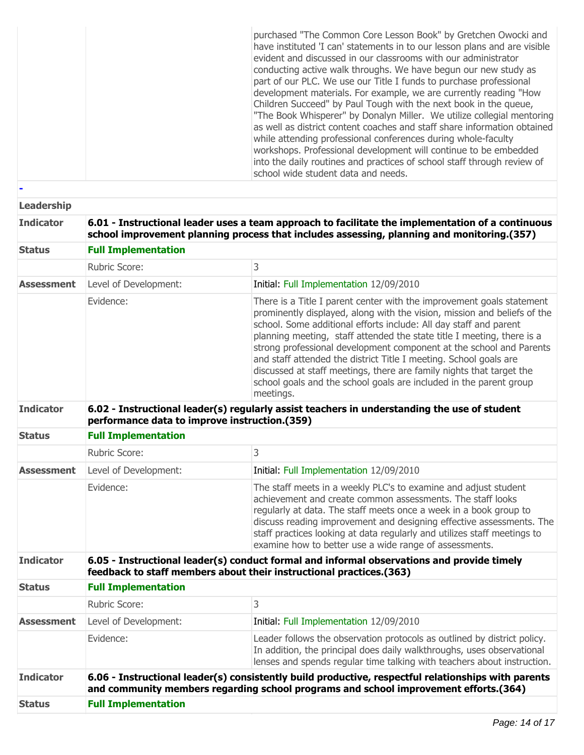|  | purchased "The Common Core Lesson Book" by Gretchen Owocki and<br>have instituted 'I can' statements in to our lesson plans and are visible<br>evident and discussed in our classrooms with our administrator<br>conducting active walk throughs. We have begun our new study as<br>part of our PLC. We use our Title I funds to purchase professional<br>development materials. For example, we are currently reading "How<br>Children Succeed" by Paul Tough with the next book in the queue,<br>"The Book Whisperer" by Donalyn Miller. We utilize collegial mentoring<br>as well as district content coaches and staff share information obtained<br>while attending professional conferences during whole-faculty<br>workshops. Professional development will continue to be embedded<br>into the daily routines and practices of school staff through review of<br>school wide student data and needs. |
|--|--------------------------------------------------------------------------------------------------------------------------------------------------------------------------------------------------------------------------------------------------------------------------------------------------------------------------------------------------------------------------------------------------------------------------------------------------------------------------------------------------------------------------------------------------------------------------------------------------------------------------------------------------------------------------------------------------------------------------------------------------------------------------------------------------------------------------------------------------------------------------------------------------------------|
|--|--------------------------------------------------------------------------------------------------------------------------------------------------------------------------------------------------------------------------------------------------------------------------------------------------------------------------------------------------------------------------------------------------------------------------------------------------------------------------------------------------------------------------------------------------------------------------------------------------------------------------------------------------------------------------------------------------------------------------------------------------------------------------------------------------------------------------------------------------------------------------------------------------------------|

| <b>Leadership</b> |                                                                                                                                                                                                 |                                                                                                                                                                                                                                                                                                                                                                                                                                                                                                                                                                                                         |  |
|-------------------|-------------------------------------------------------------------------------------------------------------------------------------------------------------------------------------------------|---------------------------------------------------------------------------------------------------------------------------------------------------------------------------------------------------------------------------------------------------------------------------------------------------------------------------------------------------------------------------------------------------------------------------------------------------------------------------------------------------------------------------------------------------------------------------------------------------------|--|
| <b>Indicator</b>  | 6.01 - Instructional leader uses a team approach to facilitate the implementation of a continuous<br>school improvement planning process that includes assessing, planning and monitoring.(357) |                                                                                                                                                                                                                                                                                                                                                                                                                                                                                                                                                                                                         |  |
| <b>Status</b>     | <b>Full Implementation</b>                                                                                                                                                                      |                                                                                                                                                                                                                                                                                                                                                                                                                                                                                                                                                                                                         |  |
|                   | Rubric Score:                                                                                                                                                                                   | 3                                                                                                                                                                                                                                                                                                                                                                                                                                                                                                                                                                                                       |  |
| <b>Assessment</b> | Level of Development:                                                                                                                                                                           | Initial: Full Implementation 12/09/2010                                                                                                                                                                                                                                                                                                                                                                                                                                                                                                                                                                 |  |
|                   | Evidence:                                                                                                                                                                                       | There is a Title I parent center with the improvement goals statement<br>prominently displayed, along with the vision, mission and beliefs of the<br>school. Some additional efforts include: All day staff and parent<br>planning meeting, staff attended the state title I meeting, there is a<br>strong professional development component at the school and Parents<br>and staff attended the district Title I meeting. School goals are<br>discussed at staff meetings, there are family nights that target the<br>school goals and the school goals are included in the parent group<br>meetings. |  |
| <b>Indicator</b>  | 6.02 - Instructional leader(s) regularly assist teachers in understanding the use of student<br>performance data to improve instruction.(359)                                                   |                                                                                                                                                                                                                                                                                                                                                                                                                                                                                                                                                                                                         |  |
| <b>Status</b>     | <b>Full Implementation</b>                                                                                                                                                                      |                                                                                                                                                                                                                                                                                                                                                                                                                                                                                                                                                                                                         |  |
|                   | <b>Rubric Score:</b>                                                                                                                                                                            | 3                                                                                                                                                                                                                                                                                                                                                                                                                                                                                                                                                                                                       |  |
| <b>Assessment</b> | Level of Development:                                                                                                                                                                           | Initial: Full Implementation 12/09/2010                                                                                                                                                                                                                                                                                                                                                                                                                                                                                                                                                                 |  |
|                   | Evidence:                                                                                                                                                                                       | The staff meets in a weekly PLC's to examine and adjust student<br>achievement and create common assessments. The staff looks<br>regularly at data. The staff meets once a week in a book group to<br>discuss reading improvement and designing effective assessments. The<br>staff practices looking at data regularly and utilizes staff meetings to<br>examine how to better use a wide range of assessments.                                                                                                                                                                                        |  |
| <b>Indicator</b>  | 6.05 - Instructional leader(s) conduct formal and informal observations and provide timely<br>feedback to staff members about their instructional practices.(363)                               |                                                                                                                                                                                                                                                                                                                                                                                                                                                                                                                                                                                                         |  |
| <b>Status</b>     | <b>Full Implementation</b>                                                                                                                                                                      |                                                                                                                                                                                                                                                                                                                                                                                                                                                                                                                                                                                                         |  |
|                   | <b>Rubric Score:</b>                                                                                                                                                                            | 3                                                                                                                                                                                                                                                                                                                                                                                                                                                                                                                                                                                                       |  |
| <b>Assessment</b> | Level of Development:                                                                                                                                                                           | Initial: Full Implementation 12/09/2010                                                                                                                                                                                                                                                                                                                                                                                                                                                                                                                                                                 |  |
|                   | Evidence:                                                                                                                                                                                       | Leader follows the observation protocols as outlined by district policy.<br>In addition, the principal does daily walkthroughs, uses observational<br>lenses and spends regular time talking with teachers about instruction.                                                                                                                                                                                                                                                                                                                                                                           |  |
| <b>Indicator</b>  |                                                                                                                                                                                                 | 6.06 - Instructional leader(s) consistently build productive, respectful relationships with parents<br>and community members regarding school programs and school improvement efforts.(364)                                                                                                                                                                                                                                                                                                                                                                                                             |  |
| <b>Status</b>     | <b>Full Implementation</b>                                                                                                                                                                      |                                                                                                                                                                                                                                                                                                                                                                                                                                                                                                                                                                                                         |  |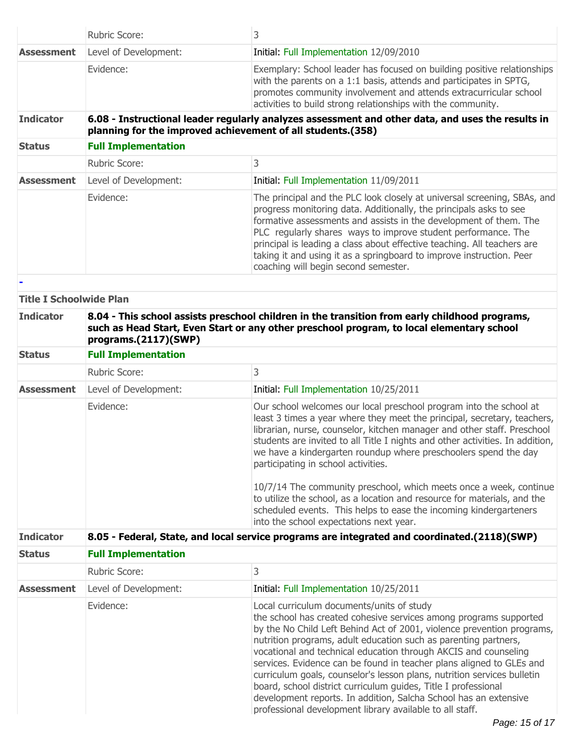| Rubric Score:                                                                                                                                                                                                       | 3                                                                                                                                                                                                                                                                                                                                                                                                                                                                                                                                                                                                                                                                                   |  |  |
|---------------------------------------------------------------------------------------------------------------------------------------------------------------------------------------------------------------------|-------------------------------------------------------------------------------------------------------------------------------------------------------------------------------------------------------------------------------------------------------------------------------------------------------------------------------------------------------------------------------------------------------------------------------------------------------------------------------------------------------------------------------------------------------------------------------------------------------------------------------------------------------------------------------------|--|--|
| Level of Development:                                                                                                                                                                                               | Initial: Full Implementation 12/09/2010                                                                                                                                                                                                                                                                                                                                                                                                                                                                                                                                                                                                                                             |  |  |
| Evidence:                                                                                                                                                                                                           | Exemplary: School leader has focused on building positive relationships<br>with the parents on a 1:1 basis, attends and participates in SPTG,<br>promotes community involvement and attends extracurricular school<br>activities to build strong relationships with the community.                                                                                                                                                                                                                                                                                                                                                                                                  |  |  |
| 6.08 - Instructional leader regularly analyzes assessment and other data, and uses the results in<br>planning for the improved achievement of all students.(358)                                                    |                                                                                                                                                                                                                                                                                                                                                                                                                                                                                                                                                                                                                                                                                     |  |  |
| <b>Full Implementation</b>                                                                                                                                                                                          |                                                                                                                                                                                                                                                                                                                                                                                                                                                                                                                                                                                                                                                                                     |  |  |
| Rubric Score:                                                                                                                                                                                                       | 3                                                                                                                                                                                                                                                                                                                                                                                                                                                                                                                                                                                                                                                                                   |  |  |
| Level of Development:                                                                                                                                                                                               | Initial: Full Implementation 11/09/2011                                                                                                                                                                                                                                                                                                                                                                                                                                                                                                                                                                                                                                             |  |  |
| Evidence:                                                                                                                                                                                                           | The principal and the PLC look closely at universal screening, SBAs, and<br>progress monitoring data. Additionally, the principals asks to see<br>formative assessments and assists in the development of them. The<br>PLC regularly shares ways to improve student performance. The<br>principal is leading a class about effective teaching. All teachers are<br>taking it and using it as a springboard to improve instruction. Peer<br>coaching will begin second semester.                                                                                                                                                                                                     |  |  |
|                                                                                                                                                                                                                     |                                                                                                                                                                                                                                                                                                                                                                                                                                                                                                                                                                                                                                                                                     |  |  |
|                                                                                                                                                                                                                     |                                                                                                                                                                                                                                                                                                                                                                                                                                                                                                                                                                                                                                                                                     |  |  |
| 8.04 - This school assists preschool children in the transition from early childhood programs,<br>such as Head Start, Even Start or any other preschool program, to local elementary school<br>programs.(2117)(SWP) |                                                                                                                                                                                                                                                                                                                                                                                                                                                                                                                                                                                                                                                                                     |  |  |
| <b>Full Implementation</b>                                                                                                                                                                                          |                                                                                                                                                                                                                                                                                                                                                                                                                                                                                                                                                                                                                                                                                     |  |  |
| Rubric Score:                                                                                                                                                                                                       | 3                                                                                                                                                                                                                                                                                                                                                                                                                                                                                                                                                                                                                                                                                   |  |  |
| Level of Development:                                                                                                                                                                                               | Initial: Full Implementation 10/25/2011                                                                                                                                                                                                                                                                                                                                                                                                                                                                                                                                                                                                                                             |  |  |
| Evidence:                                                                                                                                                                                                           | Our school welcomes our local preschool program into the school at<br>least 3 times a year where they meet the principal, secretary, teachers,<br>librarian, nurse, counselor, kitchen manager and other staff. Preschool<br>students are invited to all Title I nights and other activities. In addition,<br>we have a kindergarten roundup where preschoolers spend the day<br>participating in school activities.<br>10/7/14 The community preschool, which meets once a week, continue<br>to utilize the school, as a location and resource for materials, and the                                                                                                              |  |  |
|                                                                                                                                                                                                                     | scheduled events. This helps to ease the incoming kindergarteners<br>into the school expectations next year.                                                                                                                                                                                                                                                                                                                                                                                                                                                                                                                                                                        |  |  |
|                                                                                                                                                                                                                     | 8.05 - Federal, State, and local service programs are integrated and coordinated.(2118)(SWP)                                                                                                                                                                                                                                                                                                                                                                                                                                                                                                                                                                                        |  |  |
| <b>Full Implementation</b>                                                                                                                                                                                          |                                                                                                                                                                                                                                                                                                                                                                                                                                                                                                                                                                                                                                                                                     |  |  |
| Rubric Score:                                                                                                                                                                                                       | 3                                                                                                                                                                                                                                                                                                                                                                                                                                                                                                                                                                                                                                                                                   |  |  |
| Level of Development:                                                                                                                                                                                               | Initial: Full Implementation 10/25/2011                                                                                                                                                                                                                                                                                                                                                                                                                                                                                                                                                                                                                                             |  |  |
| Evidence:                                                                                                                                                                                                           | Local curriculum documents/units of study<br>the school has created cohesive services among programs supported<br>by the No Child Left Behind Act of 2001, violence prevention programs,<br>nutrition programs, adult education such as parenting partners,<br>vocational and technical education through AKCIS and counseling<br>services. Evidence can be found in teacher plans aligned to GLEs and<br>curriculum goals, counselor's lesson plans, nutrition services bulletin<br>board, school district curriculum guides, Title I professional<br>development reports. In addition, Salcha School has an extensive<br>professional development library available to all staff. |  |  |
|                                                                                                                                                                                                                     | <b>Title I Schoolwide Plan</b>                                                                                                                                                                                                                                                                                                                                                                                                                                                                                                                                                                                                                                                      |  |  |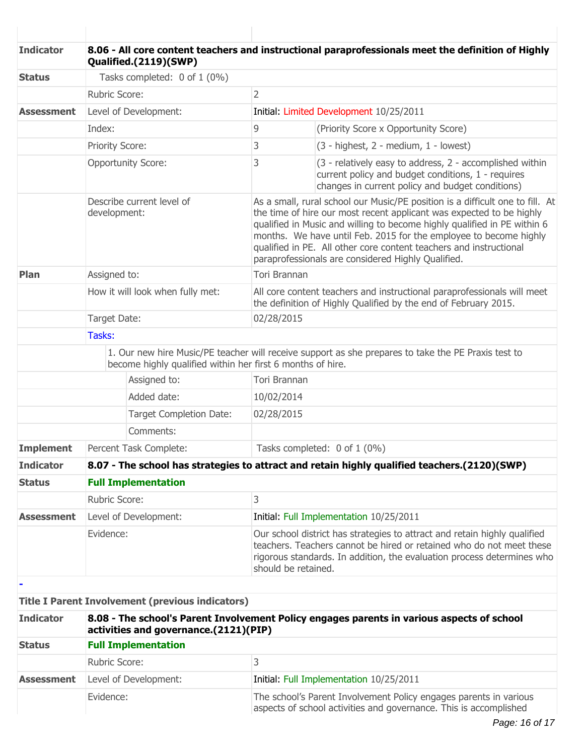| <b>Indicator</b>  | 8.06 - All core content teachers and instructional paraprofessionals meet the definition of Highly<br>Qualified.(2119)(SWP) |                                                            |                     |                                                                                                                                                                                                                                                                                                                                                                                                                                    |  |
|-------------------|-----------------------------------------------------------------------------------------------------------------------------|------------------------------------------------------------|---------------------|------------------------------------------------------------------------------------------------------------------------------------------------------------------------------------------------------------------------------------------------------------------------------------------------------------------------------------------------------------------------------------------------------------------------------------|--|
| <b>Status</b>     | Tasks completed: 0 of 1 (0%)                                                                                                |                                                            |                     |                                                                                                                                                                                                                                                                                                                                                                                                                                    |  |
|                   | Rubric Score:                                                                                                               |                                                            | $\overline{2}$      |                                                                                                                                                                                                                                                                                                                                                                                                                                    |  |
| <b>Assessment</b> |                                                                                                                             | Level of Development:                                      |                     | Initial: Limited Development 10/25/2011                                                                                                                                                                                                                                                                                                                                                                                            |  |
|                   | Index:                                                                                                                      |                                                            | 9                   | (Priority Score x Opportunity Score)                                                                                                                                                                                                                                                                                                                                                                                               |  |
|                   | Priority Score:                                                                                                             |                                                            | 3                   | (3 - highest, 2 - medium, 1 - lowest)                                                                                                                                                                                                                                                                                                                                                                                              |  |
|                   |                                                                                                                             | <b>Opportunity Score:</b>                                  | 3                   | (3 - relatively easy to address, 2 - accomplished within<br>current policy and budget conditions, 1 - requires<br>changes in current policy and budget conditions)                                                                                                                                                                                                                                                                 |  |
|                   | development:                                                                                                                | Describe current level of                                  |                     | As a small, rural school our Music/PE position is a difficult one to fill. At<br>the time of hire our most recent applicant was expected to be highly<br>qualified in Music and willing to become highly qualified in PE within 6<br>months. We have until Feb. 2015 for the employee to become highly<br>qualified in PE. All other core content teachers and instructional<br>paraprofessionals are considered Highly Qualified. |  |
| Plan              | Assigned to:                                                                                                                |                                                            | <b>Tori Brannan</b> |                                                                                                                                                                                                                                                                                                                                                                                                                                    |  |
|                   | How it will look when fully met:                                                                                            |                                                            |                     | All core content teachers and instructional paraprofessionals will meet<br>the definition of Highly Qualified by the end of February 2015.                                                                                                                                                                                                                                                                                         |  |
|                   | Target Date:                                                                                                                |                                                            | 02/28/2015          |                                                                                                                                                                                                                                                                                                                                                                                                                                    |  |
|                   | Tasks:                                                                                                                      |                                                            |                     |                                                                                                                                                                                                                                                                                                                                                                                                                                    |  |
|                   |                                                                                                                             | become highly qualified within her first 6 months of hire. |                     | 1. Our new hire Music/PE teacher will receive support as she prepares to take the PE Praxis test to                                                                                                                                                                                                                                                                                                                                |  |
|                   |                                                                                                                             | Assigned to:                                               | Tori Brannan        |                                                                                                                                                                                                                                                                                                                                                                                                                                    |  |
|                   |                                                                                                                             | Added date:                                                | 10/02/2014          |                                                                                                                                                                                                                                                                                                                                                                                                                                    |  |
|                   |                                                                                                                             | Target Completion Date:                                    | 02/28/2015          |                                                                                                                                                                                                                                                                                                                                                                                                                                    |  |
|                   |                                                                                                                             | Comments:                                                  |                     |                                                                                                                                                                                                                                                                                                                                                                                                                                    |  |
| <b>Implement</b>  |                                                                                                                             | Percent Task Complete:                                     |                     | Tasks completed: 0 of 1 (0%)                                                                                                                                                                                                                                                                                                                                                                                                       |  |
| <b>Indicator</b>  |                                                                                                                             |                                                            |                     | 8.07 - The school has strategies to attract and retain highly qualified teachers.(2120)(SWP)                                                                                                                                                                                                                                                                                                                                       |  |
| <b>Status</b>     | <b>Full Implementation</b>                                                                                                  |                                                            |                     |                                                                                                                                                                                                                                                                                                                                                                                                                                    |  |
|                   | <b>Rubric Score:</b>                                                                                                        |                                                            | 3                   |                                                                                                                                                                                                                                                                                                                                                                                                                                    |  |
| <b>Assessment</b> | Level of Development:                                                                                                       |                                                            |                     | Initial: Full Implementation 10/25/2011                                                                                                                                                                                                                                                                                                                                                                                            |  |
|                   | Evidence:                                                                                                                   |                                                            | should be retained. | Our school district has strategies to attract and retain highly qualified<br>teachers. Teachers cannot be hired or retained who do not meet these<br>rigorous standards. In addition, the evaluation process determines who                                                                                                                                                                                                        |  |
|                   |                                                                                                                             |                                                            |                     |                                                                                                                                                                                                                                                                                                                                                                                                                                    |  |
|                   |                                                                                                                             | <b>Title I Parent Involvement (previous indicators)</b>    |                     |                                                                                                                                                                                                                                                                                                                                                                                                                                    |  |
| <b>Indicator</b>  |                                                                                                                             | activities and governance.(2121)(PIP)                      |                     | 8.08 - The school's Parent Involvement Policy engages parents in various aspects of school                                                                                                                                                                                                                                                                                                                                         |  |
| <b>Status</b>     |                                                                                                                             | <b>Full Implementation</b>                                 |                     |                                                                                                                                                                                                                                                                                                                                                                                                                                    |  |
|                   | Dubric Cooron                                                                                                               |                                                            | $\mathcal{L}$       |                                                                                                                                                                                                                                                                                                                                                                                                                                    |  |

|            | Rubric Score:         |                                                                                                                                        |
|------------|-----------------------|----------------------------------------------------------------------------------------------------------------------------------------|
| Assessment | Level of Development: | Initial: Full Implementation 10/25/2011                                                                                                |
|            | Evidence:             | The school's Parent Involvement Policy engages parents in various<br>aspects of school activities and governance. This is accomplished |